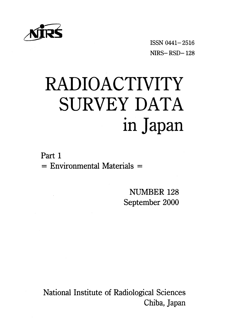

ISSN 0441-2516  $NIRS - RSD - 128$ 

# RADIOACTIVITY SURVEY DATA in Japan

Part 1  $=$  Environmental Materials  $=$ 

> NUMBER 128 September 2000

National Institute of Radiological Sciences Chiba, Japan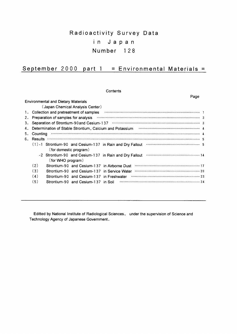# Radioactivity Survey Data in Japan Number 128

## September 2000 part  $1 =$  Environmental Materials =

Contents

Page

|    |          | <b>Environmental and Dietary Materials</b> |                                              |                                                                                                                                                                                                                                                                                                                                                                   |
|----|----------|--------------------------------------------|----------------------------------------------|-------------------------------------------------------------------------------------------------------------------------------------------------------------------------------------------------------------------------------------------------------------------------------------------------------------------------------------------------------------------|
|    |          |                                            | (Japan Chemical Analysis Center)             |                                                                                                                                                                                                                                                                                                                                                                   |
| 1. |          |                                            | Collection and pretreatment of samples       |                                                                                                                                                                                                                                                                                                                                                                   |
| 2. |          | Preparation of samples for analysis        |                                              |                                                                                                                                                                                                                                                                                                                                                                   |
| з. |          |                                            |                                              |                                                                                                                                                                                                                                                                                                                                                                   |
| 4. |          |                                            |                                              |                                                                                                                                                                                                                                                                                                                                                                   |
| 5. | Counting |                                            |                                              |                                                                                                                                                                                                                                                                                                                                                                   |
| 6. | Results  |                                            |                                              | $\begin{picture}(100,100) \put(0,0){\vector(1,0){100}} \put(10,0){\vector(1,0){100}} \put(10,0){\vector(1,0){100}} \put(10,0){\vector(1,0){100}} \put(10,0){\vector(1,0){100}} \put(10,0){\vector(1,0){100}} \put(10,0){\vector(1,0){100}} \put(10,0){\vector(1,0){100}} \put(10,0){\vector(1,0){100}} \put(10,0){\vector(1,0){100}} \put(10,0){\vector(1,0){100$ |
|    |          |                                            |                                              | $(1)$ -1 Strontium-90 and Cesium-137 in Rain and Dry Fallout $\cdots$ $\cdots$ $\cdots$ $\cdots$ $\cdots$ $\cdots$ $\cdots$ 5                                                                                                                                                                                                                                     |
|    |          | (for domestic program)                     |                                              |                                                                                                                                                                                                                                                                                                                                                                   |
|    |          |                                            |                                              |                                                                                                                                                                                                                                                                                                                                                                   |
|    |          | (for WHO program)                          |                                              |                                                                                                                                                                                                                                                                                                                                                                   |
|    | (2)      |                                            |                                              | Strontium-90 and Cesium-137 in Airborne Dust                                                                                                                                                                                                                                                                                                                      |
|    | (3)      |                                            | Strontium-90 and Cesium-137 in Service Water |                                                                                                                                                                                                                                                                                                                                                                   |
|    | (4)      |                                            | Strontium-90 and Cesium-137 in Freshwater    |                                                                                                                                                                                                                                                                                                                                                                   |
|    | (5)      |                                            | Strontium-90 and Cesium-137 in Soil          |                                                                                                                                                                                                                                                                                                                                                                   |
|    |          |                                            |                                              |                                                                                                                                                                                                                                                                                                                                                                   |

Editted by National Institute of Radiological Sciences, under the supervision of Science and Technology Agency of Japanese Government.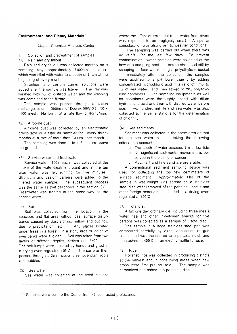#### **Environmental and Dietary Materials'**

(Japan Chemical Analysis Center)

Collection and pretreatment of samples  $1$ 

(1) Rain and dry fallout

Rain and dry fallout was collected monthly on a sampling tray, approximately 5000cm<sup>2</sup> in area. which was filled with water to a depth of 1 cm at the beginning of every month.

Strontium and cesium carrier solutions were added after the sample was filtered. The tray was washed with  $5<sub>2</sub>$  of distilled water and the washing was combined to the filtrate.

The sample was passed through a cation exchange column (500m<sub>2</sub> of Dowex 50W X8, 50 $\sim$ 100 mesh. Na form) at a rate flow of 80mg/min.

#### (2) Airborne dust

Airborne dust was collected by an electrostatic precipitator or a filter air sampler for every threemonths at a rate of more than 3000m<sup>3</sup> per month.

The sampling was done 1 to 1.5 meters above the ground.

#### (3) Service water and freshwater

Service water. 1002 each, was collected at the intake of the water-treatment plant and at the tap after water was left running for five minutes. Strontium and cesium carriers were added to the filtered water sample. The subsequent process was the same as that described in the section (1). Freshwater was treated in the same way as the service water.

#### $(4)$  Soil

Soil was collected from the location in the spacious and flat area without past surface disturbance caused by dust storms, inflow and out flow due to precipitation, etc... Any places located under trees in a forest, in a stony area or inside of river banks were avoided. Soil was taken from two layers of different depths, 0-5cm and 5-20cm. The soil lumps were crushed by hands and dried in a drving oven regulated 105°C. The soil was then passed through a 2mm sieve to remove plant roots and pebbles.

#### (5) Sea water

Sea water was collected at the fixed stations

where the effect of terrestrial fresh water from rivers was expected to be negligibly small. A special consideration was also given to weather conditions.

The sampling was carried out when there was no rainfall for the last few days. To prevent contamination. water samples were collected at the bow of a sampling boat just before she stood still by scooping surface water using a polyethylene bucket.

Immediately after the collection, the samples were acidified to a pH lower than 3 by adding concentrated hydrochloric acid in a ratio of 1 m<sub>2</sub> to 1e of sea water, and then stored in 20e polyethylene containers. The sampling equipments as well as containers were thoroughly rinsed with dilute hydrochloric acid and then with distilled water before Two hundred milliliters of sea water was also  $HSE$ collected at the same stations for the determination of chlorinity.

#### (6) Sea sediments

Sediment was collected in the same area as that for the sea water sample, taking the following criteria into account:

- a. The depth of water exceeds 1m at low tide.
- b. No significant sedimental movement is observed in the vicinity of concern.
- c. Mud, silt and fine sand are preferable.

A conventional sediment sampling device was used for collecting the top few centimeters of surface sediment. Approximately 4kg of the sample in wet weight was spread on a stainless steel dish after removed of the pebbles, shells and other foreign materials, and dried in a drying oven requlated at 105°C.

#### (7) Total diet

A full one day ordinary diet including three meals, water, tea and other in-between snacks for five persons was collected as a sample of "total diet".

The sample in a large stainless steel pan was carbonized carefully by direct application of gas flame, and was transferred to a porcelain dish and then ashed at 450°C in an electric muffle furnace.

#### $(8)$  Rice

Polished rice was collected in producing districts at the harvest and in consuming areas when new crops were first put on sale. The sample was carbonized and ashed in a porcelain dish.

\* Samples were sent to the Center from 46 contracted prefectures.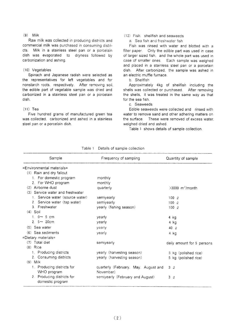#### $(9)$  Milk

Raw milk was collected in producing districts and commercial milk was purchased in consuming districts. Milk in a stainless steel pan or a porcelain dish was evaporated to dryness followed by carbonization and ashing.

#### (10) Vegetables

Spinach and Japanese radish were selected as the representatives for left vegetables and for nonstarch roots, respectively. After removing soil, the edible part of vegetable sample was dried and carbonized in a stainless steel pan or a porcelain dish.

#### $(11)$  Tea

Five hundred grams of manufactured green tea was collected, carbonized and ashed in a stainless steel pan or a porcelain dish.

#### (12) Fish. shellfish and seaweeds

a. Sea fish and freshwater fish

Fish was rinsed with water and blotted with a filter paper. Only the edible part was used in case of larger sized fish, and the whole part was used in case of smaller ones. Each sample was weighed and placed in a stainless steel pan or a porcelain dish. After carbonized, the sample was ashed in an electric muffle furnace.

#### b. Shellfish

Approximately 4kg of shellfish including the shells was collected or purchased. After removing the shells, it was treated in the same way as that for the sea fish.

#### c. Seaweeds

Edible seaweeds were collected and rinsed with water to remove sand and other adhering matters on the surface. These were removed of excess water, weighed dried and ashed.

Table 1 shows details of sample collection.

| Sample                           | Frequency of sampling                | Quantity of sample                 |
|----------------------------------|--------------------------------------|------------------------------------|
| $=$ Environmental materials=     |                                      |                                    |
| (1) Rain and dry fallout         |                                      |                                    |
| 1. For domestic program          | monthly                              |                                    |
| 2. For WHO program               | monthly                              |                                    |
| (2) Airborne dust                | quarterly                            | $>3000 \, \text{m}^3/\text{month}$ |
| (3) Service water and freshwater |                                      |                                    |
| 1. Service water (source water)  | semiyearly                           | $100\degree$                       |
| 2. Service water (tap water)     | semiyearly                           | $100\alpha$                        |
| 3. Freshwater                    | yearly (fishing season)              | $100\alpha$                        |
| $(4)$ Soil                       |                                      |                                    |
| 1. $0 \sim 5$ cm                 | yearly                               | 4 kg                               |
| 2. $5 - 20$ cm                   | yearly                               | 4 kg                               |
| $(5)$ Sea water                  | yearly                               | 40 $\varrho$                       |
| $(6)$ Sea sediments              | yearly                               | 4 kg                               |
| $=$ Dietary materials=           |                                      |                                    |
| $(7)$ Total diet                 | semiyearly                           | daily amount for 5 persons         |
| $(8)$ Rice                       |                                      |                                    |
| 1. Producing districts           | yearly (harvesting season)           | 5 kg (polished rice)               |
| 2. Consuming districts           | yearly (harvesting season)           | 5 kg (polished rice)               |
| $(9)$ Milk                       |                                      |                                    |
| 1. Producing districts for       | quarterly (February, May, August and | 3Q                                 |
| WHO program                      | November)                            |                                    |
| 2. Producing districts for       | semiyearly (February and August)     | 3Q                                 |
| domestic program                 |                                      |                                    |

Table 1 Details of sample collection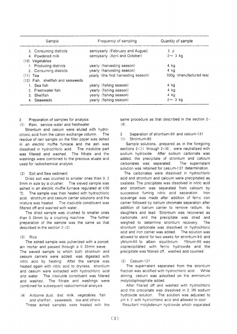| Sample                            | Frequency of sampling                | Quantity of sample      |
|-----------------------------------|--------------------------------------|-------------------------|
| 3. Consuming districts            | semiyearly (February and August)     | 3Q                      |
| 4. Powdered milk                  | semiyearly (April and October)       | $2 \sim 3$ kg           |
| $(10)$ Vegetables                 |                                      |                         |
| 1. Producing districts            | yearly (harvesting season)           | 4 ka                    |
| 2. Consuming districts            | yearly (harvesting season)           | 4 kg                    |
| (11) Tea                          | yearly (the first harvesting season) | 500g (manufactured tea) |
| (12) Fish, shellfish and seaweeds |                                      |                         |
| 1. Sea fish                       | yearly (fishing season)              | 4 kg                    |
| 2. Freshwater fish                | yearly (fishing season)              | 4 kg                    |
| 3. Shellfish                      | yearly (fishing season)              | 4 kg                    |
| 4. Seaweeds                       | yearly (fishing season)              | $2 \sim 3$ kg           |

Preparation of samples for analysis  $\mathcal{P}$ 

(1) Rain, service water and freshwater

Strontium and cesium were eluted with hydrochloric acid from the cation exchange column. The residue of rain sample on the filter paper was ashed in an electric muffle furnace and the ash was dissolved in hydrochloric acid. The insoluble part was filtered and washed. The filtrate and the washings were combined to the previous eluate and used for radiochemical analysis.

#### (2) Soil and Sea sediment

Dried soil was crushed to smaller ones than 0.2 5mm in size by a crusher. The sieved sample was ashed in an electric muffle furnace regulated at 450 The sample was then heated with hydrochloric  $^{\circ}$ C. acid. strontium and cesium carrier solutions and the mixture was heated The insoluble constituent was filtered off and washed with water.

The dried sample was crushed to smaller ones than 0.25mm by a crushing machine. The further preparation of the sample was the same as that described in the section 2-(2).

#### $(3)$  Rice

The ashed sample was pulverized with a porcelain mortar and passed through a 0.35mm sieve. The sieved sample to which both strontium and cesium carriers were added, was digested with nitric acid by heating. After the sample was heated again with nitric acid to dryness. strontium and cesium were extracted with hydrochloric acid and water. The insoluble constituent was filtered and washed. The filtrate and washings were combined for subsequent radiochemical analysis.

(4) Airborne dust, diet, milk, vegetables, fish and shellfish, seaweeds, tea and others These ashed samples were treated with the same procedure as that described in the section 2- $(4)$ .

Separation of strontium-90 and cesium-137  $\mathcal{L}$ Strontium-90  $(1)$ 

Sample solutions, prepared as in the foregoing sections  $2-(1)$  through  $2-(4)$ , were neutralized with sodium hydroxide. After sodium carbonate was added, the precipitate of strontium and calcium The supernatant carbonates was separated. solution was retained for cesium-137 determination.

The carbonates were dissolved in hydrochloric acid and strontium and calcium were precipitated as oxalates. The precipitate was dissolved in nitric acid and strontium was separated from calcium by successive fuming nitric acid separation.  $t$ ron scavenge was made after addition of ferric iron carrier followed by barium chromate separation after addition of barium carrier to remove radium, its daughters and lead. Strontium was recovered as carbonate, and the precipitate was dried and weighed to determine strontium recovery. The strontium carbonate was dissolved in hydrochloric acid and iron carrier was added. The solution was allowed to stand for two weeks for strontium-90 and yttrium-90 to attain equilibrium. Yttrium-90 was coprecipitated with ferric hydroxide and the precipitate was filtered off, washed and counted.

#### $(2)$  Cesium-137

The supernatant separated from the strontium fraction was acidified with hydrochloric acid. While stirring. cesium was adsorbed on the ammonium molybdophosphate added.

After filtered off and washed with hydrochloric acid the precipitate was dissolved in 2.5N sodium hydroxide solution. The solution was adjusted to pH 8.2 with hydrochloric acid and allowed to cool. Resultant molybdenum hydroxide which separated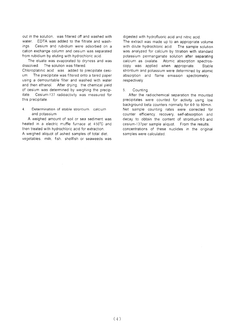out in the solution. was filtered off and washed with water. EDTA was added to the filtrate and washings. Cesium and rubidium were adsorbed on a cation exchange column and cesium was separated from rubidium by eluting with hydrochloric acid.

The eluate was evaporated to dryness and was dissolved. The solution was filtered.

Chloroplatinic acid was added to precipitate cesium. The precipitate was filtered onto a tared paper using a demountable filter and washed with water and then ethanol. After drying, the chemical yield of cesium was determined by weighing the precipitate. Cesium-137 radioactivity was measured for this precipitate.

Determination of stable strontium. calcium  $\Delta$ and potassium

A weighed amount of soil or sea sediment was heated in a electric muffle furnace at 450°C and then treated with hydrochloric acid for extraction. A weighed aliquot of ashed samples of total diet. vegetables, milk, fish, shellfish or seaweeds was digested with hydrofluoric acid and nitric acid.

The extract was made up to an appropriate volume with dilute hydrochloric acid. The sample solution was analyzed for calcium by titration with standard potassium permanganate solution after separating calcium as oxalate. Atomic absorption spectroscopy was applied when appropriate. Stable strontium and potassium were determined by atomic absorption and flame emission spectrometry, respectively.

#### $5<sup>1</sup>$ Countina

After the radiochemical separation the mounted precipitates were counted for activity using low background beta counters normally for 60 to 90min. Net sample counting rates were corrected for counter efficiency, recovery, self-absorption and decay to obtain the content of strontium-90 and cesium-137per sample aliquot. From the results. concentrations of these nuclides in the original samples were calculated.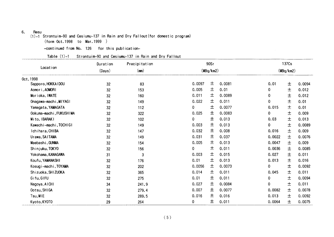#### 6. Resu

(1)-1Strontuim-90and Cesiumu-137in Rain and Dry Fal10Ut(for domestic program) (form Oct.1998 to Mar.1999)

-continued from No. 126 for this publication-

Table (1)-1 Strontuim-90 and Cesiumu-137 in Rain and Dry Fallout

| Location<br>0ct, 1998<br>Sapporo, HOKKA I DOU<br>Aomori, AOMORI<br>Morioka, IWATE<br>Onagawa-machi, MIYAGI | (Days)<br>32<br>32<br>32 | (mn)<br>83<br>153<br>160 | 0.0097<br>0.005 | (MBq/km2)<br>土 | 0.0081 | 0.01        | (MBq/km2)<br>土 |        |
|------------------------------------------------------------------------------------------------------------|--------------------------|--------------------------|-----------------|----------------|--------|-------------|----------------|--------|
|                                                                                                            |                          |                          |                 |                |        |             |                |        |
|                                                                                                            |                          |                          |                 |                |        |             |                |        |
|                                                                                                            |                          |                          |                 |                |        |             |                | 0.0094 |
|                                                                                                            |                          |                          |                 | 土              | 0.01   | 0           | 土              | 0.012  |
|                                                                                                            |                          |                          | 0.011           | 土              | 0.0089 | 0           | $\pm$          | 0.012  |
|                                                                                                            | 32                       | 149                      | 0.022           | 土              | 0.011  | $\mathbf 0$ | 土              | 0.01   |
| Yamagata, YAMAGATA                                                                                         | 32                       | 112                      | $\mathbf 0$     | 土              | 0.0077 | 0.015       | 土              | 0.01   |
| Ookuma-machi, FUKUSHIMA                                                                                    | 32                       | 322                      | 0.025           | 土              | 0.0083 | 0           | 土              | 0.009  |
| Mito, IBARAKI                                                                                              | 32                       | 102                      | 0               | 土              | 0.013  | 0.03        | 土              | 0.013  |
| Kawachi-machi, TOCHIGI                                                                                     | 32                       | 149                      | 0.003           | 土              | 0.013  | 0           | 土              | 0.0089 |
| Ichihara, CHIBA                                                                                            | 32                       | 147                      | 0.032           | 土              | 0.008  | 0.016       | 土              | 0.009  |
| Urawa, SAITAMA                                                                                             | 32                       | 149                      | 0.031           | 土              | 0.037  | 0.0022      | 土              | 0.0076 |
| Maebashi, GUNMA                                                                                            | 32                       | 154                      | 0.005           | 土              | 0.013  | 0.0047      | $\pm$          | 0.009  |
| Shinjuku, TOKYO                                                                                            | 32                       | 156                      | 0               | 土              | 0.011  | 0.0036      | 土              | 0.0085 |
| Yokohama, KANAGAWA                                                                                         | 31                       | 3                        | 0.003           | 土              | 0.015  | 0.027       | $\pm$          | 0.011  |
| Koufu, YAMANASHI                                                                                           | 32                       | 176                      | 0.01            | 土              | 0.013  | 0.013       | $\pm$          | 0.016  |
| Kosugi-machi, TOYAMA                                                                                       | 32                       | 202                      | 0.0056          | 土              | 0.0073 | 0           | 土              | 0.0092 |
| Shizuoka, SHIZUOKA                                                                                         | 32                       | 365                      | 0.014           | 土              | 0.011  | 0.045       | 土              | 0.011  |
| Gifu, GIFU                                                                                                 | 32                       | 275                      | 0.01            | 土              | 0.011  | 0           | $\pm$          | 0.0094 |
| Nagoya, AICHI                                                                                              | 34                       | 241.9                    | 0.027           | 土              | 0.0084 | $\pmb{0}$   | $\pm$          | 0.011  |
| Ootsu, SHIGA                                                                                               | 32                       | 279.4                    | 0.007           | 土              | 0.0077 | 0.0082      | 土              | 0.0078 |
| Tsu, MIE                                                                                                   | 32                       | 289.5                    | 0.016           | 土              | 0.016  | 0.013       | $\pm$          | 0.0092 |
| Kyoto, KY0T0                                                                                               | 29                       | 264                      | 0               | 土              | 0.011  | 0.0064      | 土              | 0.0075 |
|                                                                                                            |                          |                          |                 |                |        |             |                |        |
|                                                                                                            |                          |                          | (5)             |                |        |             |                |        |
|                                                                                                            |                          |                          |                 |                |        |             |                |        |
|                                                                                                            |                          |                          |                 |                |        |             |                |        |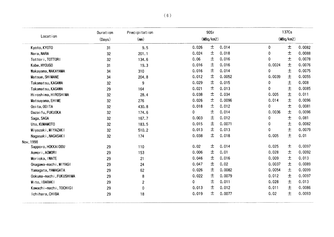|                         | Duration | Precipitation  |       | 90Sr      |        |             | 137Cs |        |  |
|-------------------------|----------|----------------|-------|-----------|--------|-------------|-------|--------|--|
| Location                | (Days)   | (mn)           |       | (MBq/km2) |        | (MBq/km2)   |       |        |  |
| Kyoto, KY0T0            | 31       | 9.5            | 0.026 | 土         | 0.014  | $\mathbf 0$ | 土     | 0.0082 |  |
| Nara, NARA              | 32       | 201.1          | 0.024 | 土         | 0.018  | 0           | 土     | 0.0088 |  |
| Tottori, TOTTORI        | 32       | 134.6          | 0.06  | 土         | 0.016  | 0           | 土     | 0.0078 |  |
| Kobe, HYOUGO            | 31       | 19.3           | 0.016 | 土         | 0.016  | 0.0024      | 土     | 0.0076 |  |
| Wakayama, WAKAYAMA      | 34       | 310            | 0.016 | 土         | 0.014  | 0           | 土     | 0.0075 |  |
| Matsue, SHIMANE         | 34       | 204.8          | 0.012 | 土         | 0.0052 | 0.0039      | 土     | 0.0055 |  |
| Takamatsu, KAGAWA       | 32       | 9              | 0.029 | 土         | 0.015  | 0           | $\pm$ | 0.008  |  |
| Takamatsu, KAGAWA       | 29       | 164            | 0.021 | 土         | 0.013  | 0           | 土     | 0.0085 |  |
| Hiroshima, HIROSHIMA    | 32       | 28.4           | 0.038 | 土         | 0.034  | 0.005       | $\pm$ | 0.011  |  |
| Matsuyama, EH!ME        | 32       | 276            | 0.026 | 土         | 0.0096 | 0.014       | 土     | 0.0096 |  |
| Ooita, OOITA            | 32       | 430.8          | 0.018 | 土         | 0.012  | 0           | 士     | 0.0081 |  |
| Dazai fu, FUKUOKA       | 32       | 174.6          | 0     | 土         | 0.014  | 0.0036      | $\pm$ | 0.0096 |  |
| Saga, SAGA              | 32       | 167.7          | 0.003 | 土         | 0.012  | 0           | 士     | 0.081  |  |
| Uto, KUMAMOTO           | 32       | 183.5          | 0.015 | 土         | 0.0071 | 0           | $\pm$ | 0.0082 |  |
| Miyazaki, MIYAZAKI      | 32       | 510.2          | 0.013 | 土         | 0.013  | 0           | 士     | 0.0079 |  |
| Nagasaki, NAGASAKI      | 32       | 174            | 0.038 | 士         | 0.018  | 0.005       | 士     | 0.01   |  |
| Nov, 1998               |          |                |       |           |        |             |       |        |  |
| Sapporo, HOKKAIDOU      | 29       | 110            | 0.02  | 土         | 0.014  | 0.025       | 土     | 0.0097 |  |
| Aomori, AOMORI          | 29       | 153            | 0.006 | 士         | 0.01   | 0.028       | 土     | 0.0092 |  |
| Morioka, IWATE          | 29       | 21             | 0.046 | 土         | 0.016  | 0.009       | 土     | 0.013  |  |
| Onagawa-machi, MIYAGI   | 29       | 24             | 0.047 | 土         | 0.02   | 0.0037      | 土     | 0.0089 |  |
| Yamagata, YAMAGATA      | 29       | 62             | 0.026 | 土         | 0.0082 | 0.0054      | 土     | 0.0099 |  |
| Ookuma-machi, FUKUSHIMA | 29       | 8              | 0.022 | 土         | 0.0079 | 0.012       | 土     | 0.0097 |  |
| Mito, IBARAKI           | 29       | $\overline{2}$ | 0     | 土         | 0.011  | 0.028       | 土     | 0.013  |  |
| Kawachi-machi, TOCHIGI  | 29       | 0              | 0.013 | 土         | 0.012  | 0.011       | 土     | 0.0086 |  |
| Ichihara, CHIBA         | 29       | 18             | 0.019 | 土         | 0.0077 | 0.02        | 士     | 0.0093 |  |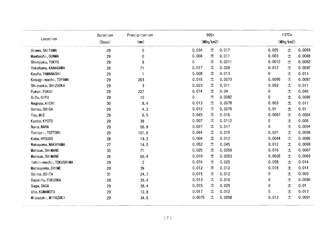|                        | Duration | Precipitation  |           | 90Sr |        |           | 137Cs |        |
|------------------------|----------|----------------|-----------|------|--------|-----------|-------|--------|
| Location               | (Days)   | (mm)           | (MBq/km2) |      |        | (MBq/km2) |       |        |
| Urawa, SAITAMA         | 29       | 5              | 0.034     | 土    | 0.017  | 0.025     | 土     | 0.0093 |
| Maebashi, GUNMA        | 29       | 0              | 0.008     | 土    | 0.011  | 0.003     | 土     | 0.0088 |
| Shinjuku, TOKYO        | 29       | 8              | 0         | 土    | 0.0011 | 0.0012    | 土     | 0.0082 |
| Yokohama, KANAGAWA     | 28       | 71             | 0.017     | 土    | 0.009  | 0.012     | $\pm$ | 0.0092 |
| Koufu, YAMANASHI       | 29       |                | 0.008     | 土    | 0.013  | 0         | 土     | 0.013  |
| Kosugi-machi, TOYAMA   | 29       | 263            | 0.015     | 土    | 0.0073 | 0.0095    | 土     | 0.0097 |
| Shizuoka, SHIZUOKA     | 29       | 3              | 0.023     | 土    | 0.011  | 0.052     | $\pm$ | 0.011  |
| Fukui, FUKUI           | 29       | 227            | 0.074     | 士    | 0.04   | 0         | 士     | 0.046  |
| Gifu, GIFU             | 29       | 10             | 0         | 土    | 0.0082 | 0         | 土     | 0.0086 |
| Nagoya, AICHI          | 30       | 8.4            | 0.013     | 土    | 0.0078 | 0.003     | $\pm$ | 0.011  |
| Ootsu, SHIGA           | 29       | 4.2            | 0.012     | 土    | 0.0076 | 0.01      | 土     | 0.01   |
| Tsu, MIE               | 29       | 6.5            | 0.045     | 土    | 0.016  | 0.0067    | 土     | 0.0084 |
| Kyoto, KYOTO           | 28       | 38             | 0.007     | 土    | 0.0112 | 0         | 士     | 0.008  |
| Nara, NARA             | 29       | 56.8           | 0.027     | 土    | 0.017  | 0         | $\pm$ | 0.0094 |
| Tottori, TOTTORI       | 29       | 101.6          | 0.044     | 土    | 0.015  | 0.021     | 士     | 0.0098 |
| Kobe, HY0UG0           | 28       | 14.2           | 0.004     | 土    | 0.012  | 0.0044    | 土     | 0.0086 |
| Wakayama, WAKAYAMA     | 27       | 14.5           | 0.052     | 土    | 0.045  | 0.012     | 土     | 0.0088 |
| Matsue, SHIMANE        | 35       | 71             | 0.025     | 土    | 0.0059 | 0.016     | 士     | 0.0067 |
| Matsue, SHIMANE        | 26       | 66.4           | 0.019     | 土    | 0.0053 | 0.0026    | $\pm$ | 0.0069 |
| Ishii-machi, TOKUSHIMA | 29       | $\overline{2}$ | 0.074     | 土    | 0.025  | 0.058     | 士     | 0.014  |
| Matsuyama, EHIME       | 29       | 39             | 0.012     | 土    | 0.012  | 0.018     | 土     | 0.014  |
| Ooita, OOITA           | 31       | 24.7           | 0.015     | 士    | 0.012  | 0         | 土     | 0.009  |
| Dazai fu, FUKUOKA      | 29       | 35.4           | 0.013     | 土    | 0.016  | 0         | $\pm$ | 0.0086 |
| Saga, SAGA             | 29       | 38.4           | 0.015     | 土    | 0.025  | 0         | 土     | 0.01   |
| Uto, KUMAMOTO          | 29       | 12.8           | 0.017     | 土    | 0.012  | 0         | 土     | 0.013  |
| Miyazaki, MIYAZAKI     | 29       | 34.6           | 0.0075    | 士    | 0.0058 | 0.012     | 士     | 0.0091 |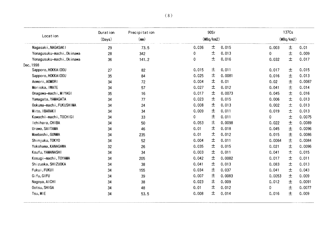|                           | Duration | Precipitation |       | 90Sr      |        |           | 137Cs |        |
|---------------------------|----------|---------------|-------|-----------|--------|-----------|-------|--------|
| Location                  | (Days)   | (mn)          |       | (MBq/km2) |        | (MBq/km2) |       |        |
| Nagasaki, NAGASAKI        | 29       | 73.5          | 0.036 | $\pm$     | 0.015  | 0.003     | 土     | 0.01   |
| Yonagusuku-machi, 0kinawa | 28       | 342           | 0     | 士         | 0.013  | 0         | $\pm$ | 0.009  |
| Yonagusuku-machi, 0kinawa | 36       | 141.2         | 0     | 土         | 0.016  | 0.032     | 土     | 0.017  |
| Dec, 1998                 |          |               |       |           |        |           |       |        |
| Sapporo, HOKKA I DOU      | 27       | 82            | 0.015 | 土         | 0.011  | 0.017     | 土     | 0.015  |
| Sapporo, HOKKAIDOU        | 35       | 84            | 0.025 | 土         | 0.0081 | 0.016     | 土     | 0.013  |
| Aomori, AOMORI            | 34       | 72            | 0.004 | 土         | 0.01   | 0.02      | 士     | 0.0087 |
| Morioka, IWATE            | 34       | 57            | 0.027 | 土         | 0.012  | 0.041     | 土     | 0.014  |
| Onagawa-machi, MIYAGI     | 35       | 16            | 0.017 | 土         | 0.0073 | 0.045     | 士     | 0.016  |
| Yamagata, YAMAGATA        | 34       | 77            | 0.023 | 土         | 0.015  | 0.006     | 土     | 0.013  |
| Ookuma-machi, FUKUSHIMA   | 34       | 24            | 0.008 | 土         | 0.013  | 0.002     | 土     | 0.013  |
| Mito, IBARAKI             | 34       | 34            | 0.009 | 土         | 0.011  | 0.019     | $\pm$ | 0.013  |
| Kawachi-machi, TOCHIGI    | 34       | 33            | 0     | 土         | 0.011  | 0         | $\pm$ | 0.0075 |
| Ichihara, CHIBA           | 34       | 50            | 0.053 | 土         | 0.0098 | 0.022     | 土     | 0.0089 |
| Urawa, SAITAMA            | 34       | 46            | 0.01  | 土         | 0.018  | 0.045     | 土     | 0.0096 |
| Maebashi, GUNMA           | 34       | 235           | 0.01  | 土         | 0.012  | 0.015     | 土     | 0.0086 |
| Shinjuku, TOKYO           | 34       | 52            | 0.004 | 土         | 0.011  | 0.0064    | $\pm$ | 0.0084 |
| Yokohama, KANAGAWA        | 32       | 26            | 0.035 | 土         | 0.015  | 0.021     | $\pm$ | 0.0096 |
| Koufu, YAMANASHI          | 34       | 34            | 0.003 | 土         | 0.011  | 0.041     | $\pm$ | 0.015  |
| Kosugi-machi, TOYAMA      | 34       | 205           | 0.042 | 土         | 0.0082 | 0.017     | $\pm$ | 0.011  |
| Shizuoka, SHIZUOKA        | 34       | 38            | 0.041 | 土         | 0.013  | 0.083     | 土     | 0.013  |
| Fukui, FUKUI              | 34       | 155           | 0.034 | 土         | 0.037  | 0.041     | 土     | 0.043  |
| Gifu, GIFU                | 34       | 39            | 0.007 | 土         | 0.0083 | 0.0053    | $\pm$ | 0.009  |
| Nagoya, AICHI             | 34       | 38            | 0.023 | 土         | 0.009  | 0.012     | $\pm$ | 0.0091 |
| Ootsu, SHIGA              | 34       | 48            | 0.01  | 土         | 0.012  | 0         | $\pm$ | 0.0077 |
| Tsu, MIE                  | 34       | 53.5          | 0.008 | 土         | 0.014  | 0.016     | $\pm$ | 0.009  |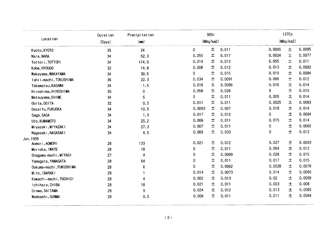|                    |                         | Duration | Precipitation |          | 90Sr      |        |           | 137Cs |        |  |
|--------------------|-------------------------|----------|---------------|----------|-----------|--------|-----------|-------|--------|--|
|                    | Location                | (Days)   | (mn)          |          | (MBq/km2) |        | (MBq/km2) |       |        |  |
| Kyoto, KY0T0       |                         | 35       | 24            | 0        | 土         | 0.011  | 0.0085    | 土     | 0.0085 |  |
| Nara, NARA         |                         | 34       | 52.3          | 0.055    | 土         | 0.017  | 0.0024    | 土     | 0.0077 |  |
| Tot tor i, TOTTORI |                         | 34       | 114.9         | 0.019    | 土         | 0.013  | 0.055     | 土     | 0.011  |  |
| Kobe, HY0UGO       |                         | 32       | 14.8          | 0.008    | 土         | 0.012  | 0.013     | 土     | 0.0082 |  |
|                    | Wakayama, WAKAYAMA      | 34       | 30.5          | 0        | 土         | 0.015  | 0.019     | 土     | 0.0084 |  |
|                    | Ishii-machi, TOKUSHIMA  | 36       | 22.3          | 0.034    | 土         | 0.0091 | 0.066     | $\pm$ | 0.012  |  |
|                    | Takamatsu, KAGAWA       | 34       | 1.5           | 0.016    | 土         | 0.0089 | 0.016     | 土     | 0.014  |  |
|                    | Hiroshima, HIROSHIMA    | 35       | 0             | 0.058    | 土         | 0.026  | 0         | 土     | 0.015  |  |
| Matsuyama, EHIME   |                         | 34       | 5             | 0        | 土         | 0.011  | 0.005     | 土     | 0.014  |  |
| Ooita, OOITA       |                         | 32       | 0.5           | 0.011    | 土         | 0.011  | 0.0025    | $\pm$ | 0.0083 |  |
| Dazai fu, FUKUOKA  |                         | 34       | 10.5          | 0.0093   | 土         | 0.007  | 0.018     | 土     | 0.014  |  |
| Saga, SAGA         |                         | 34       | 1.3           | 0.017    | 土         | 0.012  | 0         | 土     | 0.0084 |  |
| Uto, KUMAMOTO      |                         | 34       | 25.2          | 0.006    | 土         | 0.011  | 0.015     | $\pm$ | 0.014  |  |
|                    | Miyazaki, MIYAZAKI      | 34       | 27.3          | 0.007    | 土         | 0.011  | 0         | 土     | 0.0065 |  |
|                    | Nagasaki, NAGASAKI      | 34       | 4.5           | 0.065    | 土         | 0.033  | 0         | $\pm$ | 0.012  |  |
| Jan, 1999          |                         |          |               |          |           |        |           |       |        |  |
| Aomori, AOMORI     |                         | 28       | 133           | 0.021    | 土         | 0.012  | 0.027     | $\pm$ | 0.0093 |  |
| Morioka, IWATE     |                         | 28       | 18            | 0        | 土         | 0.011  | 0.064     | 土     | 0.012  |  |
|                    | Onagawa-machi, MIYAGI   | 27       | 4             | 0        | 士         | 0.0069 | 0.028     | 土     | 0.015  |  |
|                    | Yamagata, YAMAGATA      | 28       | 64            | 0        | 土         | 0.011  | 0.017     | $\pm$ | 0.015  |  |
|                    | Ookuma-machi, FUKUSHIMA | 28       | 6             | $\Omega$ | 土         | 0.0062 | 0.0028    | 土     | 0.0078 |  |
| Mito, IBARAKI      |                         | 28       |               | 0.014    | 土         | 0.0073 | 0.014     | 土     | 0.0085 |  |
|                    | Kawachi-machi, TOCHIGI  | 28       | 4             | 0.002    | 土         | 0.013  | 0.02      | 土     | 0.0098 |  |
| Ichihara, CHIBA    |                         | 28       | 18            | 0.021    | 土         | 0.011  | 0.003     | 土     | 0.008  |  |
| Urawa, SAITAMA     |                         | 28       | 9             | 0.024    | 土         | 0.012  | 0.013     | 土     | 0.0065 |  |
| Maebashi, GUNMA    |                         | 28       | 0.5           | 0.006    | 土         | 0.011  | 0.011     | 土     | 0.0084 |  |
|                    |                         |          |               |          |           |        |           |       |        |  |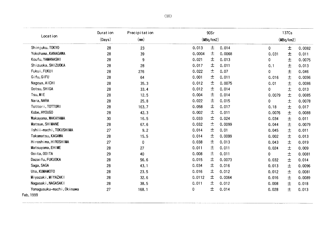|                                        | Duration        | Precipitation |           | 90Sr |        |           | 137Cs |        |  |
|----------------------------------------|-----------------|---------------|-----------|------|--------|-----------|-------|--------|--|
| Location                               | (Days)          | (mn)          | (MBq/km2) |      |        | (MBq/km2) |       |        |  |
| Shinjuku, TOKYO                        | 28              | 23            | 0.013     | 土    | 0.014  | 0         | 土     | 0.0082 |  |
| Yokohama, KANAGAWA                     | 28              | 39            | 0.0004    | 土    | 0.0068 | 0.031     | 土     | 0.011  |  |
| Koufu, YAMANASHI                       | 28              | 9             | 0.021     | 土    | 0.013  | 0         | 土     | 0.0075 |  |
| Shizuoka, SHIZUOKA                     | 28              | 28            | 0.017     | 土    | 0.011  | 0.1       | 土     | 0.013  |  |
| Fukui, FUKUI                           | 28              | 276           | 0.022     | 土    | 0.07   | 0         | $\pm$ | 0.046  |  |
| Gifu, GIFU                             | 28              | 64            | 0.001     | 土    | 0.011  | 0.016     | 土     | 0.0096 |  |
| Nagoya, AICHI                          | 28              | 35.3          | 0.012     | 土    | 0.0075 | 0.01      | 土     | 0.0086 |  |
| Ootsu, SHIGA                           | 28              | 33.4          | 0.012     | 土    | 0.014  | 0         | $\pm$ | 0.013  |  |
| Tsu, MIE                               | 28              | 12.5          | 0.004     | 土    | 0.014  | 0.0079    | $\pm$ | 0.0085 |  |
| Nara, NARA                             | 28              | 25.8          | 0.022     | 土    | 0.015  | 0         | $\pm$ | 0.0078 |  |
| Tottori, TOTTORI                       | 28              | 163.7         | 0.058     | 土    | 0.017  | 0.18      | 土     | 0.017  |  |
| Kobe, HY0UG0                           | 28              | 42.3          | 0.002     | 土    | 0.011  | 0.0076    | 土     | 0.0088 |  |
| Wakayama, WAKAYAMA                     | 30 <sub>o</sub> | 16.5          | 0.033     | 土    | 0.024  | 0.034     | 土     | 0.011  |  |
| Matsue, SHIMANE                        | 28              | 67.6          | 0.032     | 土    | 0.0099 | 0.044     | 土     | 0.0079 |  |
| Ishii-machi, TOKUSHIMA                 | 27              | 9.2           | 0.014     | 土    | 0.01   | 0.045     | 土     | 0.011  |  |
| Takamatsu, KAGAWA                      | 28              | 15.5          | 0.014     | 土    | 0.0099 | 0.002     | 土     | 0.013  |  |
| Hiroshima, HIROSHIMA                   | 27              | 0             | 0.038     | 土    | 0.013  | 0.043     | 土     | 0.019  |  |
| Matsuyama, EHIME                       | 28              | 27            | 0.011     | 土    | 0.011  | 0.024     | 土     | 0.009  |  |
| Ooita, OOITA                           | 29              | 40            | 0.008     | 土    | 0.011  | 0         | 土     | 0.0081 |  |
| Dazai fu, FUKUOKA                      | 28              | 56.6          | 0.015     | 土    | 0.0073 | 0.032     | 士     | 0.014  |  |
| Saga, SAGA                             | 28              | 43.1          | 0.034     | 土    | 0.016  | 0.013     | 土     | 0.0096 |  |
| Uto, KUMAMOTO                          | 28              | 23.5          | 0.016     | 土    | 0.012  | 0.012     | 土     | 0.0081 |  |
| Miyazaki, MIYAZAKI                     | 28              | 32.6          | 0.0112    | 土    | 0.0064 | 0.016     | $\pm$ | 0.0089 |  |
| Nagasaki, NAGASAKI                     | 28              | 38.5          | 0.011     | 土    | 0.012  | 0.008     | 土     | 0.018  |  |
| Yonagusuku-machi, 0kinawa<br>Feb, 1999 | 27              | 168.1         | 0         | 土    | 0.014  | 0.028     | 土     | 0.013  |  |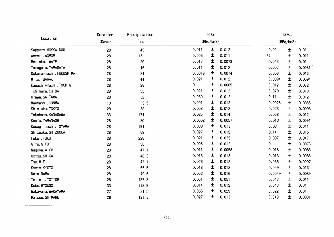|                         | Duration | Precipitation |        | 90Sr      |        |        | 137Cs     |        |
|-------------------------|----------|---------------|--------|-----------|--------|--------|-----------|--------|
| Locat ion               | (Days)   | (m)           |        | (MBq/km2) |        |        | (MBq/km2) |        |
| Sapporo, HOKKA I DOU    | 28       | 45            | 0.011  | 土         | 0.012  | 0.02   | 土         | 0.01   |
| Aomori, AOMORI          | 28       | 131           | 0.006  | 土         | 0.011  | 67     | 土         | 0.011  |
| Morioka, IWATE          | 28       | 20            | 0.017  | 土         | 0.0073 | 0.043  | 土         | 0.01   |
| Yamagata, YAMAGATA      | 28       | 46            | 0.011  | 土         | 0.012  | 0.007  | $\pm$     | 0.0081 |
| Ookuma-machi, FUKUSHIMA | 28       | 24            | 0.0019 | 土         | 0.0074 | 0.058  | 土         | 0.013  |
| Mito, IBARAKI           | 28       | 44            | 0.021  | 土         | 0.012  | 0.0094 | 土         | 0.0094 |
| Kawachi-machi, TOCHIGI  | 28       | 28            | 0      | 土         | 0.0085 | 0.012  | 土         | 0.082  |
| Ichihara, CHIBA         | 28       | 55            | 0.021  | 土         | 0.012  | 0.079  | 土         | 0.013  |
| Urawa, SAITAMA          | 28       | 32            | 0.039  | 土         | 0.012  | 0.11   | 土         | 0.012  |
| Maebashi, GUNMA         | 19       | 2.5           | 0.001  | 土         | 0.012  | 0.0026 | 土         | 0.0085 |
| Shinjuku, TOKYO         | 28       | 38            | 0.008  | 土         | 0.012  | 0.023  | 土         | 0.0098 |
| Yokohama, KANAGAWA      | 33       | 174           | 0.025  | 土         | 0.014  | 0.058  | 土         | 0.012  |
| Koufu, YAMANASHI        | 28       | 30            | 0.0062 | 土         | 0.0057 | 0.013  | 土         | 0.0091 |
| Kosugi-machi, TOYAMA    | 28       | 194           | 0.038  | 土         | 0.013  | 0.03   | $\pm$     | 0.011  |
| Shizuoka, SHIZUOKA      | 28       | 89            | 0.027  | 土         | 0.012  | 0.14   | 土         | 0.015  |
| Fukui, FUKUI            | 28       | 228           | 0.021  | 土         | 0.032  | 0.007  | 土         | 0.047  |
| Gifu, GIFU              | 28       | 56            | 0.005  | 土         | 0.012  | 0      | 土         | 0.0073 |
| Nagoya, AICHI           | 28       | 47.1          | 0.011  | 土         | 0.0058 | 0.016  | 土         | 0.0088 |
| Ootsu, SHIGA            | 28       | 48.2          | 0.013  | 土         | 0.013  | 0.013  | 土         | 0.0088 |
| Tsu, MIE                | 28       | 47.1          | 0.026  | 土         | 0.012  | 0.035  | 土         | 0.0097 |
| Kyoto, KY0T0            | 28       | 55.5          | 0.018  | 土         | 0.013  | 0.059  | 土         | 0.013  |
| Nara, NARA              | 28       | 49.6          | 0.002  | 土         | 0.016  | 0.0049 | 土         | 0.0089 |
| Tottori, TOTTORI        | 28       | 187.8         | 0.051  | 土         | 0.051  | 0.043  | 土         | 0.011  |
| Kobe, HYOUGO            | 33       | 112.9         | 0.014  | 土         | 0.012  | 0.043  | $\pm$     | 0.01   |
| Wakayama, WAKAYAMA      | 27       | 31.5          | 0.065  | 土         | 0.029  | 0.022  | 土         | 0.01   |
| Matsue, SHIMANE         | 28       | 121.3         | 0.027  | 土         | 0.013  | 0.049  | $\pm$     | 0.0081 |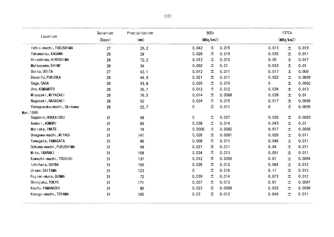|                           | Duration | Precipitation |        | 90Sr      |        |       | 137Cs     |        |  |  |
|---------------------------|----------|---------------|--------|-----------|--------|-------|-----------|--------|--|--|
| Location                  | (Days)   | (mn)          |        | (MBq/km2) |        |       | (MBq/km2) |        |  |  |
| Ishii-machi, TOKUSHIMA    | 27       | 29.2          | 0.042  | 土         | 0.015  | 0.013 | $\pm$     | 0.019  |  |  |
| Takamatsu, KAGAWA         | 28       | 28            | 0.026  | 土         | 0.019  | 0.035 | 土         | 0.011  |  |  |
| Hiroshima, HIROSHIMA      | 28       | 72.2          | 0.012  | 士         | 0.015  | 0.05  | 土         | 0.017  |  |  |
| Matsuyama, EHIME          | 28       | 34            | 0.002  | 土         | 0.01   | 0.033 | 士         | 0.01   |  |  |
| Ooita, OOITA              | 27       | 42.1          | 0.012  | 土         | 0.011  | 0.017 | 土         | 0.009  |  |  |
| Dazai fu, FUKUOKA         | 28       | 44.9          | 0.021  | 土         | 0.011  | 0.022 | 土         | 0.0099 |  |  |
| Saga, SAGA                | 28       | 43.8          | 0.025  | 土         | 0.015  | 0     | 土         | 0.0092 |  |  |
| Uto, KUMAMOTO             | 28       | 35.7          | 0.012  | 土         | 0.012  | 0.034 | $\pm$     | 0.013  |  |  |
| Miyazaki, MIYAZAKI        | 28       | 76.5          | 0.014  | 土         | 0.0068 | 0.038 | $\pm$     | 0.01   |  |  |
| Nagasaki, NAGASAKI        | 28       | 52            | 0.024  | 土         | 0.015  | 0.017 | 土         | 0.0088 |  |  |
| Yonagusuku-machi, 0kinawa | 28       | 22.7          | 0      | 土         | 0.011  | 0     | $\pm$     | 0.0095 |  |  |
| Mar, 1999                 |          |               |        |           |        |       |           |        |  |  |
| Sapporo, HOKKAIDOU        | 31       | 48            | 0      | 土         | 0.007  | 0.026 | 士         | 0.0093 |  |  |
| Aomori, AOMORI            | 31       | 65            | 0.038  | 士         | 0.014  | 0.043 | 土         | 0.01   |  |  |
| Morioka, IWATE            | 31       | 74            | 0.0006 | 土         | 0.0082 | 0.017 | 土         | 0.0088 |  |  |
| Onagawa-machi, MIYAGI     | 31       | 141           | 0.026  | 土         | 0.0081 | 0.026 | 士         | 0.011  |  |  |
| Yamagata, YAMAGATA        | 31       | 86            | 0.008  | 士         | 0.011  | 0:046 | $\pm$     | 0.011  |  |  |
| Ookuma-machi, FUKUSHIMA   | 31       | 99            | 0.021  | 土         | 0.011  | 0.04  | 土         | 0.011  |  |  |
| Mito, IBARAKI             | 31       | 108           | 0.034  | 土         | 0.013  | 0.051 | 土         | 0.011  |  |  |
| Kawachi-machi, TOCHIGI    | 31       | 137           | 0.012  | 土         | 0.0099 | 0.01  | $\pm$     | 0.0084 |  |  |
| Ichihara, CHIBA           | 31       | 150           | 0.026  | 土         | 0.012  | 0.064 | $\pm$     | 0.012  |  |  |
| Urawa, SAITAMA            | 31       | 123           | 0      | 土         | 0.016  | 0.11  | 士         | 0.012  |  |  |
| Fujimi-mura, GUNMA        | 31       | 72            | 0.039  | 土         | 0.014  | 0.073 | $\pm$     | 0.012  |  |  |
| Shinjuku, TOKYO           | 31       | 171           | 0.007  | 土         | 0.013  | 0.01  | $\pm$     | 0.0087 |  |  |
| Koufu, YAMANASHI          | 31       | 80            | 0.023  | 土         | 0.0068 | 0.033 | 土         | 0.0099 |  |  |
| Kosugi-machi, TOYAMA      | 31       | 105           | 0.03   | 士         | 0.012  | 0.049 | 土         | 0.011  |  |  |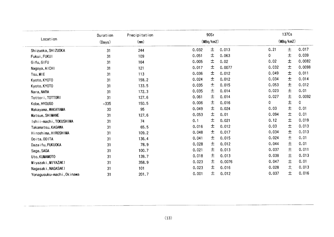| (Days)<br>31<br>31 | (mn)<br>244                                      | 0.032 |      |           |             |           |                                                                                                                                                                                    |  |  |  |
|--------------------|--------------------------------------------------|-------|------|-----------|-------------|-----------|------------------------------------------------------------------------------------------------------------------------------------------------------------------------------------|--|--|--|
|                    |                                                  |       |      | (MBq/km2) |             | (MBq/km2) |                                                                                                                                                                                    |  |  |  |
|                    |                                                  |       | 土    | 0.013     | 0.21        | 土         | 0.017                                                                                                                                                                              |  |  |  |
|                    | 109                                              | 0.051 | 土    | 0.063     | $\mathbf 0$ | $\pm$     | 0.039                                                                                                                                                                              |  |  |  |
| 31                 | 164                                              | 0.005 | 土    | 0.02      | 0.02        | 土         | 0.0082                                                                                                                                                                             |  |  |  |
|                    | 121                                              | 0.017 | 土    | 0.0077    |             | $\pm$     | 0.0098                                                                                                                                                                             |  |  |  |
|                    | 113                                              | 0.036 | 土    | 0.012     |             | $\pm$     | 0.011                                                                                                                                                                              |  |  |  |
| 31                 | 158.2                                            | 0.024 | 土    | 0.012     |             | 士         | 0.014                                                                                                                                                                              |  |  |  |
| 31                 | 133.5                                            | 0.035 | 土    | 0.015     |             | 土         | 0.012                                                                                                                                                                              |  |  |  |
| 31                 | 172.3                                            | 0.035 | 土    | 0.014     |             | 土         | 0.01                                                                                                                                                                               |  |  |  |
| 31                 | 127.6                                            | 0.061 | 土    | 0.014     |             | $\pm$     | 0.0092                                                                                                                                                                             |  |  |  |
|                    | 150.5                                            | 0.006 | 土    | 0.016     | 0           | $\pm$     | 0                                                                                                                                                                                  |  |  |  |
|                    | 95                                               | 0.049 | 土    | 0.024     | 0.03        | $\pm$     | 0.01                                                                                                                                                                               |  |  |  |
| 31                 | 127.6                                            | 0.053 | 土    | 0.01      |             | 士         | 0.01                                                                                                                                                                               |  |  |  |
|                    |                                                  | 0.1   | 土    | 0.021     | 0.12        | $\pm$     | 0.019                                                                                                                                                                              |  |  |  |
|                    | 65.5                                             | 0.016 | 土    | 0.012     | 0.03        | $\pm$     | 0.013                                                                                                                                                                              |  |  |  |
| 31                 | 109.2                                            | 0.048 | 土    | 0.017     |             | 土         | 0.013                                                                                                                                                                              |  |  |  |
| 31                 | 136.4                                            | 0.041 | 土    | 0.015     |             |           | 0.01                                                                                                                                                                               |  |  |  |
| 31                 | 78.9                                             | 0.028 | 土    | 0.012     |             |           | 0.01                                                                                                                                                                               |  |  |  |
| 31                 | 100.7                                            | 0.021 | 土    | 0.013     |             |           | 0.011                                                                                                                                                                              |  |  |  |
| 31                 | 139.7                                            | 0.018 | 土    | 0.013     |             |           | 0.013                                                                                                                                                                              |  |  |  |
|                    | 358.9                                            | 0.023 | 土    | 0.0076    |             |           | 0.01                                                                                                                                                                               |  |  |  |
|                    | 101                                              | 0.023 | 土    | 0.016     |             |           | 0.013                                                                                                                                                                              |  |  |  |
| 31                 | 201.7                                            | 0.001 | 土    | 0.012     |             |           | 0.016                                                                                                                                                                              |  |  |  |
|                    |                                                  |       |      |           |             |           |                                                                                                                                                                                    |  |  |  |
|                    |                                                  |       |      |           |             |           |                                                                                                                                                                                    |  |  |  |
|                    | 31<br>31<br>$-335$<br>30<br>31<br>31<br>31<br>31 | 74    | (13) |           |             |           | 0.032<br>0.049<br>0.034<br>0.053<br>0.023<br>0.027<br>0.094<br>0.034<br>土<br>0.024<br>$\pm$<br>0.044<br>土<br>0.037<br>$\pm$<br>0.038<br>土<br>0.047<br>$\pm$<br>0.028<br>土<br>0.037 |  |  |  |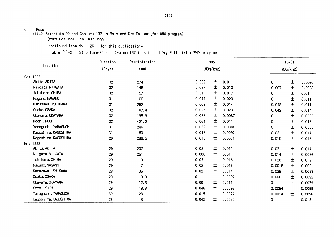6. Resu

 $(1)$ -2 Strontuim-90 and Cesiumu-137 in Rain and Dry Fallout(for WHO program)

(form Oct.1998 to Mar.1999)

-continued from No. 126 for this publication-

Table (1)-2 Strontuim-90 and Cesiumu-137 in Rain and Dry Fallout(for WHO program)

|                      | Duration | Precipitation |       | 90Sr      |        |              | 137Cs     |        |
|----------------------|----------|---------------|-------|-----------|--------|--------------|-----------|--------|
| Location             | (Days)   | (mn)          |       | (MBq/km2) |        |              | (MBq/km2) |        |
| 0ct, 1998            |          |               |       |           |        |              |           |        |
| Akita, AKITA         | 32       | 274           | 0.022 | 土         | 0.011  | $\mathbf{0}$ | $\pm$     | 0.0093 |
| Niigata, NIIGATA     | 32       | 148           | 0.037 | 土         | 0.013  | 0.007        | $\pm$     | 0.0082 |
| Ichihara, CHIBA      | 32       | 157           | 0.01  | 土         | 0.017  | 0            | $\pm$     | 0.01   |
| Nagano, NAGANO       | 31       | 106           | 0.047 | 土         | 0.023  | 0            | 土         | 0.011  |
| Kanazawa, ISHIKAWA   | 31       | 282           | 0.008 | 土         | 0.014  | 0.048        | 土         | 0.011  |
| Osaka, OSAKA         | 32       | 187.4         | 0.025 | 土         | 0.023  | 0.042        | 土         | 0.014  |
| Okayama, OKAYAMA     | 32       | 195.9         | 0.027 | 土         | 0.0087 | 0            | 土         | 0.0098 |
| Kochi, KOCHI         | 32       | 421.2         | 0.064 | 土         | 0.011  | 0            | $\pm$     | 0.013  |
| Yamaguchi, YAMAGUCHI | 31       | 246           | 0.022 | 土         | 0.0084 | 0            | $\pm$     | 0.0066 |
| Kagoshima, KAGOSHIMA | 31       | 60            | 0.042 | 土         | 0.0092 | 0.02         | $\pm$     | 0.014  |
| Kagoshima, KAGOSHIMA | 29       | 286.5         | 0.015 | 土         | 0.0071 | 0.015        | 士         | 0.013  |
| Nov, 1998            |          |               |       |           |        |              |           |        |
| Akita, AKITA         | 29       | 207           | 0.03  | 土         | 0.011  | 0.03         | $\pm$     | 0.014  |
| Niigata, NIIGATA     | 29       | 251           | 0.006 | 土         | 0.01   | 0.014        | $\pm$     | 0.0086 |
| Ichihara, CHIBA      | 29       | 13            | 0.03  | 土         | 0.015  | 0.028        | 土         | 0.012  |
| Nagano, NAGANO       | 29       | 7             | 0.02  | 土         | 0.016  | 0.0018       | 土         | 0.0091 |
| Kanazawa, ISHIKAWA   | 28       | 106           | 0.021 | 土         | 0.014  | 0.039        | $\pm$     | 0.0098 |
| Osaka, OSAKA         | 29       | 19.3          | 0     | 土         | 0.0097 | 0.0061       | 土         | 0.0092 |
| Okayama, OKAYAMA     | 29       | 12.3          | 0.001 | 土         | 0.011  | 0            | $\pm$     | 0.0079 |
| Kochi, KOCHI         | 29       | 18.8          | 0.046 | 土         | 0.0098 | 0.0084       | $\pm$     | 0.0099 |
| Yamaguchi, YAMAGUCHI | $30\,$   | 23            | 0.015 | 土         | 0.0077 | 0.0024       | $\pm$     | 0.0096 |
| Kagoshima, KAGOSHIMA | 28       | 8             | 0.042 | 土         | 0.0086 | 0            | 土         | 0.013  |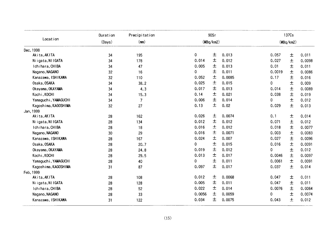|                      | Duration | Precipitation  |        | 90Sr      |        |        | 137Cs     |        |
|----------------------|----------|----------------|--------|-----------|--------|--------|-----------|--------|
| Location             | (Days)   | (mm)           |        | (MBq/km2) |        |        | (MBq/km2) |        |
| Dec, 1998            |          |                |        |           |        |        |           |        |
| Akita, AKITA         | 34       | 195            | 0      | 土         | 0.013  | 0.057  | $\pm$     | 0.011  |
| Niigata, NIIGATA     | 34       | 178            | 0.014  | $\pm$     | 0.012  | 0.027  | 土         | 0.0098 |
| Ichihara, CHIBA      | 34       | 47             | 0.005  | 土         | 0.013  | 0.01   | 土         | 0.011  |
| Nagano, NAGANO       | 32       | 16             | 0      | 土         | 0.011  | 0.0019 | 土         | 0.0086 |
| Kanazawa, ISHIKAWA   | 32       | 110            | 0.052  | 土         | 0.0085 | 0.17   | $\pm$     | 0.016  |
| Osaka, OSAKA         | 34       | 38.2           | 0.025  | 土         | 0.015  | 0      | $\pm$     | 0.009  |
| Okayama, OKAYAMA     | 34       | 4.3            | 0.017  | 土         | 0.013  | 0.014  | 土         | 0.0089 |
| Kochi, KOCHI         | 34       | 15.3           | 0.14   | 土         | 0.021  | 0.038  | 土         | 0.019  |
| Yamaguchi, YAMAGUCHI | 34       | $\overline{7}$ | 0.006  | 土         | 0.014  | 0      | $\pm$     | 0.012  |
| Kagoshima, KAGOSHIMA | 32       | 27             | 0.13   | 土         | 0.02   | 0.029  | $\pm$     | 0.013  |
| Jan, 1999            |          |                |        |           |        |        |           |        |
| Akita, AKITA         | 28       | 162            | 0.026  | 土         | 0.0074 | 0.1    | 土         | 0.014  |
| Niigata, NIIGATA     | 28       | 134            | 0.012  | 土         | 0.012  | 0.071  | 土         | 0.012  |
| Ichihara, CHIBA      | 28       | 18             | 0.016  | 土         | 0.012  | 0.018  | 土         | 0.0077 |
| Nagano, NAGANO       | 30       | 29             | 0.016  | 土         | 0.0071 | 0.003  | $\pm$     | 0.0083 |
| Kanazawa, ISHIKAWA   | 28       | 167            | 0.024  | 土         | 0.007  | 0.027  | 士         | 0.0096 |
| Osaka, OSAKA         | 28       | 20.7           | 0      | 土         | 0.015  | 0.016  | 土         | 0.0091 |
| Okayama, OKAYAMA     | 28       | 24.8           | 0.019  | 土         | 0.012  | 0      | $\pm$     | 0.012  |
| Kochi, KOCHI         | 28       | 29.5           | 0.013  | 土         | 0.017  | 0.0046 | $\pm$     | 0.0097 |
| Yamaguchi, YAMAGUCHI | 28       | 40             | 0      | 土         | 0.011  | 0.0061 | $\pm$     | 0.0091 |
| Kagoshima, KAGOSHIMA | 31       | 87             | 0.097  | 土         | 0.017  | 0.037  | $\pm$     | 0.014  |
| Feb, 1999            |          |                |        |           |        |        |           |        |
| Akita, AKITA         | 28       | 108            | 0.012  | 土         | 0.0068 | 0.047  | 土         | 0.011  |
| Niigata, NI IGATA    | 28       | 128            | 0.005  | 土         | 0.011  | 0.047  | 土         | 0.011  |
| Ichihara, CHIBA      | 28       | 52             | 0.022  | 土         | 0.014  | 0.0076 | $\pm$     | 0.0064 |
| Nagano, NAGANO       | 28       | 33             | 0.0056 | 土         | 0.0059 | 0      | 土         | 0.0074 |
| Kanazawa, ISHIKAWA   | 31       | 122            | 0.034  | 土         | 0.0075 | 0.043  | 士         | 0.012  |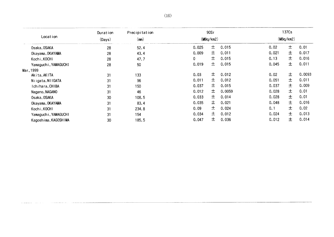|                      | Duration | Precipitation |       | 90Sr      |        |       | 137Cs     |        |
|----------------------|----------|---------------|-------|-----------|--------|-------|-----------|--------|
| Location             | (Days)   | (mm)          |       | (MBq/km2) |        |       | (MBq/km2) |        |
| Osaka, OSAKA         | 28       | 52.4          | 0.025 | 土         | 0.015  | 0.02  | 士         | 0.01   |
| Okayama, OKAYAMA     | 28       | 43.4          | 0.009 | 士         | 0.011  | 0.021 | 土         | 0.017  |
| Kochi, KOCHI         | 28       | 47.7          | 0     | 土         | 0.015  | 0.13  | 士         | 0.016  |
| Yamaguchi, YAMAGUCHI | 28       | 50            | 0.019 | 土         | 0.015  | 0.045 | 土         | 0.011  |
| Mar, 1999            |          |               |       |           |        |       |           |        |
| Akita, AKITA         | 31       | 133           | 0.03  | 士         | 0.012  | 0.02  | 土         | 0.0093 |
| Niigata, NIIGATA     | 31       | 96            | 0.011 | 士。        | 0.012  | 0.051 | 士         | 0.011  |
| Ichihara, CHIBA      | 31       | 150           | 0.037 | 士         | 0.015  | 0.037 | 士         | 0.009  |
| Nagano, NAGANO       | 31       | 46            | 0.012 | 土         | 0.0059 | 0.028 | 士         | 0.01   |
| Osaka, OSAKA         | 30       | 108.5         | 0.033 | 土         | 0.014  | 0.028 | 士         | 0.01   |
| Okayama, OKAYAMA     | 31       | 83.4          | 0.035 | 土         | 0.021  | 0.048 | 士         | 0.016  |
| Kochi, KOCHI         | 31       | 234.8         | 0.09  | 土         | 0.024  | 0.1   | 士         | 0.02   |
| Yamaguchi, YAMAGUCHI | 31       | 154           | 0.034 | 士         | 0.012  | 0.024 | 士。        | 0.013  |
| Kagoshima, KAGOSHIMA | 30       | 185.5         | 0.047 | 土         | 0.036  | 0.012 | 土         | 0.014  |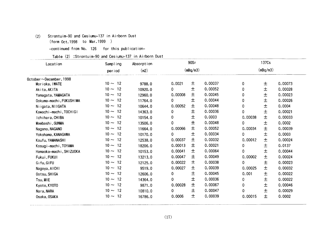### (2) Strontuim-90and Cesiumu-137in Airborn Dust

(form Oct.1998 to Mar.1999)

-continued from No. 126 for this publication-

|  |  | Table (2) :Strontuim-90 and Cesiumu-137 in Airborn Dust |  |  |  |  |  |
|--|--|---------------------------------------------------------|--|--|--|--|--|
|--|--|---------------------------------------------------------|--|--|--|--|--|

| 0.0021<br>0.00008<br>0.00052 | (mBq/m3)<br>土<br>土<br>土<br>土<br>士<br>$\pm$ | 0.00037<br>0.00052<br>0.00045<br>0.00044<br>0.00048 | 0<br>0<br>0<br>0 | (mBq/m3)<br>土<br>$\pm$<br>$\pm$<br>$\pm$ | 0.00073<br>0.00028<br>0.00023 |
|------------------------------|--------------------------------------------|-----------------------------------------------------|------------------|------------------------------------------|-------------------------------|
|                              |                                            |                                                     |                  |                                          |                               |
|                              |                                            |                                                     |                  |                                          |                               |
|                              |                                            |                                                     |                  |                                          |                               |
|                              |                                            |                                                     |                  |                                          |                               |
|                              |                                            |                                                     |                  |                                          |                               |
|                              |                                            |                                                     |                  |                                          | 0.00026                       |
|                              |                                            |                                                     | 0                | $\pm$                                    | 0.0004                        |
|                              |                                            | 0.00036                                             | 0                | $\pm$                                    | 0.00021                       |
|                              | 土                                          | 0.0003                                              | 0.00038          | $\pm$                                    | 0.00033                       |
|                              | $\pm$                                      | 0.00048                                             | 0                | $\pm$                                    | 0.0002                        |
| 0.00066                      | 土                                          | 0.00052                                             | 0.00034          | $\pm$                                    | 0.00039                       |
|                              | $\pm$                                      | 0.00034                                             | $\mathbf{O}$     | $\pm$                                    | 0.0003                        |
| 0.00037                      | 土                                          | 0.00032                                             | 0.00012          | $\pm$                                    | 0.00024                       |
| 0.00013                      | 土                                          | 0.00021                                             | 0                | $\pm$                                    | 0.0137                        |
| 0.00041                      | 土                                          | 0.00064                                             | 0                | $\pm$                                    | 0.00044                       |
| 0.00047                      | 土                                          | 0.00049                                             | 0.00002          | $\pm$                                    | 0.00024                       |
| 0.00022                      | 土                                          | 0.00038                                             | 0                | $\pm$                                    | 0.00023                       |
| 0.00027                      | 土                                          | 0.00039                                             | 0.00025          | $\pm$                                    | 0.00032                       |
|                              | 土                                          | 0.00045                                             | 0.001            | $\pm$                                    | 0.00022                       |
|                              | 土                                          | 0.00036                                             | 0                | $\pm$                                    | 0.00022                       |
| 0.00028                      | 土                                          | 0.00067                                             | 0                | $\pm$                                    | 0.00046                       |
|                              | 土                                          | 0.00047                                             | 0                | $\pm$                                    | 0.00029                       |
| 0.0006                       | $\pm$                                      | 0.00039                                             | 0.00015          | 土                                        | 0.0002                        |
|                              |                                            |                                                     |                  |                                          |                               |
|                              |                                            |                                                     |                  |                                          |                               |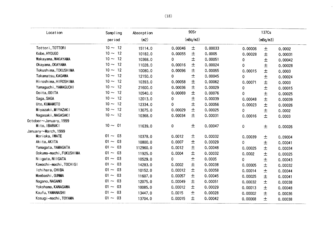| Location                | Sampling        | Absorption |           | 90Sr     |         |          | 137Cs    |         |
|-------------------------|-----------------|------------|-----------|----------|---------|----------|----------|---------|
|                         | period          | (m2)       |           | (mBq/m3) |         |          | (mBq/m3) |         |
| Tottori, TOTTORI        | $10 \sim 12$    | 15114.0    | 0.00046   | 土        | 0.00033 | 0.00006  | 土        | 0.0002  |
| Kobe, HY0UG0            | $10 \sim$<br>12 | 10182.0    | 0.00055   | 士        | 0.0005  | 0.00028  | 土        | 0.00031 |
| Wakayama, WAKAYAMA      | $10 \sim$<br>12 | 10368.0    | 0         | $\pm$    | 0.00051 | 0        | $\pm$    | 0.00042 |
| Okayama, OKAYAMA        | $10 \sim$<br>12 | 11028.0    | 0.00016   | $\pm$    | 0.00024 | $\Omega$ | $\pm$    | 0.00028 |
| Tokushima, TOKUSHIMA    | $10 \sim$<br>12 | 10080.0    | 0.00096   | 土        | 0.00055 | 0.00015  | $\pm$    | 0.0003  |
| Takamatsu, KAGAWA       | 12<br>$10 \sim$ | 12150.0    | 0         | 土        | 0.00045 | 0        | $\pm$    | 0.00024 |
| Hiroshima, HIROSHIMA    | $10 \sim$<br>12 | 10393.0    | 0.00058   | 士        | 0.00062 | 0.00071  | $\pm$    | 0.0003  |
| Yamaguchi, YAMAGUCHI    | $10 \sim$<br>12 | 21600.0    | 0.00036   | 土        | 0.00029 | 0        | $\pm$    | 0.00015 |
| Ooita, OOITA            | $10 \sim$<br>12 | 10540.0    | 0.00069   | 土        | 0.00076 | 0        | $\pm$    | 0.00025 |
| Saga, SAGA              | $10 \sim$<br>12 | 12013.0    | 0         | $\pm$    | 0.00039 | 0.00048  | $\pm$    | 0.00039 |
| Uto, KUMAMOTO           | 12<br>$10 \sim$ | 12334.0    | 0         | 土        | 0.00056 | 0.00023  | $\pm$    | 0.00026 |
| Miyazaki, MIYAZAKI      | $10 \sim$<br>12 | 13075.0    | 0.00029   | 土        | 0.00025 | 0        | 土        | 0.0002  |
| Nagasaki, NAGASAKI      | $10 \sim 12$    | 10368.0    | 0.00034   | 土        | 0.00031 | 0.00016  | 士        | 0.0003  |
| 0ctober~January, 1999   |                 |            |           |          |         |          |          |         |
| Mito, IBARAKI           | $10 \sim 01$    | 11639.0    | $\pmb{0}$ | 土        | 0.00047 | 0        | $\pm$    | 0.00026 |
| January~March, 1999     |                 |            |           |          |         |          |          |         |
| Morioka, IWATE          | 03<br>$01 -$    | 10378.0    | 0.0012    | $\pm$    | 0.00032 | 0.00039  | 土        | 0.09004 |
| Akita, AKITA            | 03<br>$01 \sim$ | 10800.0    | 0.0007    | 土        | 0.00029 | 0        | $\pm$    | 0.00041 |
| Yamagata, YAMAGATA      | $01 \sim$<br>03 | 112960.0   | 0.0012    | 土        | 0.00048 | 0.00025  | 土        | 0.00034 |
| Ookuma-machi, FUKUSHIMA | $01 \sim$<br>03 | 11925.0    | 0.0004    | 土        | 0.00032 | 0.0002   | $\pm$    | 0.00025 |
| Niigata, NIIGATA        | $01 -$<br>03    | 10529.0    | 0         | 土        | 0.0005  | 0        | $\pm$    | 0.00043 |
| Kawachi-machi, TOCHIGI  | $01 \sim$<br>03 | 14283.0    | 0.0002    | 士        | 0.00038 | 0.00005  | $\pm$    | 0.00032 |
| Ichihara, CHIBA         | $01 \sim$<br>03 | 10152.0    | 0.00012   | 土        | 0.00058 | 0.00014  | $\pm$    | 0.00044 |
| Maebashi, GUNMA         | $01 -$<br>03    | 11607.0    | 0.00057   | 土        | 0.00045 | 0.00025  | $\pm$    | 0.00041 |
| Nagano, NAGANO          | 03<br>$01 \sim$ | 12075.0    | 0.00049   | 土        | 0.00051 | 0.00032  | $\pm$    | 0.00038 |
| Yokohama, KANAGAWA      | $01 \sim$<br>03 | 10085.0    | 0.00012   | 土        | 0.00029 | 0.00013  | $\pm$    | 0.00048 |
| Koufu, YAMANASHI        | 03<br>$01 \sim$ | 13447.0    | 0.0015    | 土        | 0.00028 | 0.00002  | 士        | 0.00036 |
| Kosugi-machi, TOYAMA    | $01 - 03$       | 13704.0    | 0.00015   | 土        | 0.00042 | 0.00068  | 土        | 0.00038 |

 $\mathcal{A}$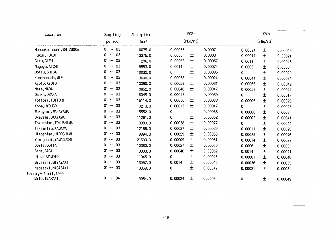| period<br>$01 \sim 03$<br>Hamaoka-machi, SHIZUOKA<br>$01 - 03$<br>Fukui, FUKUI<br>$01 - 03$<br>Gifu, GIFU<br>$01 - 03$<br>Nagoya, AICHI<br>$01 \sim 03$<br>Ootsu, SHIGA<br>$01 - 03$<br>Kumanonada, MIE<br>03<br>$01 -$<br>Kyoto, KYOTO<br>$01 - 03$<br>Nara, NARA<br>$01 - 03$<br>Osaka, OSAKA<br>03<br>$01 \sim$<br>Tottori, TOTTORI<br>$01 - 03$<br>Kobe, HY0UG0<br>03<br>$01 \sim$<br>Wakayama, WAKAYAMA<br>$01 - 03$<br>Okayama, OKAYAMA<br>$01 - 03$<br>Tokushima, TOKUSHIMA<br>$01 - 03$<br>Takamatsu, KAGAWA<br>$01 - 03$<br>Hiroshima, HIROSHIMA<br>$01 - 03$<br>Yamaguchi, YAMAGUCHI<br>03<br>$01 -$<br>Ooita, OOITA<br>$01 - 03$<br>Saga, SAGA<br>$01 - 03$<br>Uto, KUMAMOTO<br>$01 - 03$<br>Miyazaki, MIYAZAKI<br>$01 \sim 03$<br>Nagasaki, NAGASAKI | (m2)<br>10075.0<br>13375.0<br>11296.0<br>9553.0<br>10032.0<br>13600.0<br>10090.0<br>10852.0<br>16045.0<br>15114.0<br>10213.0<br>15552.0<br>11261.0<br>10080.0<br>12166.0<br>9994.0<br>21600.0 | 0.00066<br>0.0006<br>0.00063<br>0.0014<br>0<br>0.00058<br>0.00059<br>0.00046<br>0.00017<br>0.00056<br>0.00013<br>0<br>0<br>0.00038<br>0.00037<br>0.00029 | (mBq/m3)<br>土<br>$\pm$<br>土<br>$\pm$<br>$\pm$<br>$\pm$<br>$\pm$<br>土<br>土<br>土<br>土<br>$\pm$<br>土<br>士 | 0.0007<br>0.0003<br>0.00057<br>0.00074<br>0.00035<br>0.00024<br>0.00031<br>0.00047<br>0.00039<br>0.00033<br>0.00047<br>0.00036<br>0.00052 | 0.00024<br>0.00017<br>0.0011<br>0.0006<br>0<br>0.00044<br>0.00066<br>0.00059<br>0<br>0.00006<br>0<br>0.00006<br>0.00002 | (mBq/m3)<br>$\pm$<br>$\pm$<br>土<br>$\pm$<br>$\pm$<br>土<br>$\pm$<br>土<br>$\pm$<br>$\pm$<br>$\pm$<br>$\pm$ | 0.00046<br>0.00021<br>0.00043<br>0.0005<br>0.00029<br>0.00034<br>0.00049<br>0.00044<br>0.00017<br>0.00029<br>0.00043 |
|------------------------------------------------------------------------------------------------------------------------------------------------------------------------------------------------------------------------------------------------------------------------------------------------------------------------------------------------------------------------------------------------------------------------------------------------------------------------------------------------------------------------------------------------------------------------------------------------------------------------------------------------------------------------------------------------------------------------------------------------------------------|-----------------------------------------------------------------------------------------------------------------------------------------------------------------------------------------------|----------------------------------------------------------------------------------------------------------------------------------------------------------|--------------------------------------------------------------------------------------------------------|-------------------------------------------------------------------------------------------------------------------------------------------|-------------------------------------------------------------------------------------------------------------------------|----------------------------------------------------------------------------------------------------------|----------------------------------------------------------------------------------------------------------------------|
|                                                                                                                                                                                                                                                                                                                                                                                                                                                                                                                                                                                                                                                                                                                                                                  |                                                                                                                                                                                               |                                                                                                                                                          |                                                                                                        |                                                                                                                                           |                                                                                                                         |                                                                                                          |                                                                                                                      |
|                                                                                                                                                                                                                                                                                                                                                                                                                                                                                                                                                                                                                                                                                                                                                                  |                                                                                                                                                                                               |                                                                                                                                                          |                                                                                                        |                                                                                                                                           |                                                                                                                         |                                                                                                          |                                                                                                                      |
|                                                                                                                                                                                                                                                                                                                                                                                                                                                                                                                                                                                                                                                                                                                                                                  |                                                                                                                                                                                               |                                                                                                                                                          |                                                                                                        |                                                                                                                                           |                                                                                                                         |                                                                                                          |                                                                                                                      |
|                                                                                                                                                                                                                                                                                                                                                                                                                                                                                                                                                                                                                                                                                                                                                                  |                                                                                                                                                                                               |                                                                                                                                                          |                                                                                                        |                                                                                                                                           |                                                                                                                         |                                                                                                          |                                                                                                                      |
|                                                                                                                                                                                                                                                                                                                                                                                                                                                                                                                                                                                                                                                                                                                                                                  |                                                                                                                                                                                               |                                                                                                                                                          |                                                                                                        |                                                                                                                                           |                                                                                                                         |                                                                                                          |                                                                                                                      |
|                                                                                                                                                                                                                                                                                                                                                                                                                                                                                                                                                                                                                                                                                                                                                                  |                                                                                                                                                                                               |                                                                                                                                                          |                                                                                                        |                                                                                                                                           |                                                                                                                         |                                                                                                          |                                                                                                                      |
|                                                                                                                                                                                                                                                                                                                                                                                                                                                                                                                                                                                                                                                                                                                                                                  |                                                                                                                                                                                               |                                                                                                                                                          |                                                                                                        |                                                                                                                                           |                                                                                                                         |                                                                                                          |                                                                                                                      |
|                                                                                                                                                                                                                                                                                                                                                                                                                                                                                                                                                                                                                                                                                                                                                                  |                                                                                                                                                                                               |                                                                                                                                                          |                                                                                                        |                                                                                                                                           |                                                                                                                         |                                                                                                          |                                                                                                                      |
|                                                                                                                                                                                                                                                                                                                                                                                                                                                                                                                                                                                                                                                                                                                                                                  |                                                                                                                                                                                               |                                                                                                                                                          |                                                                                                        |                                                                                                                                           |                                                                                                                         |                                                                                                          |                                                                                                                      |
|                                                                                                                                                                                                                                                                                                                                                                                                                                                                                                                                                                                                                                                                                                                                                                  |                                                                                                                                                                                               |                                                                                                                                                          |                                                                                                        |                                                                                                                                           |                                                                                                                         |                                                                                                          |                                                                                                                      |
|                                                                                                                                                                                                                                                                                                                                                                                                                                                                                                                                                                                                                                                                                                                                                                  |                                                                                                                                                                                               |                                                                                                                                                          |                                                                                                        |                                                                                                                                           |                                                                                                                         |                                                                                                          |                                                                                                                      |
|                                                                                                                                                                                                                                                                                                                                                                                                                                                                                                                                                                                                                                                                                                                                                                  |                                                                                                                                                                                               |                                                                                                                                                          |                                                                                                        |                                                                                                                                           |                                                                                                                         |                                                                                                          |                                                                                                                      |
|                                                                                                                                                                                                                                                                                                                                                                                                                                                                                                                                                                                                                                                                                                                                                                  |                                                                                                                                                                                               |                                                                                                                                                          |                                                                                                        |                                                                                                                                           |                                                                                                                         |                                                                                                          | 0.0003                                                                                                               |
|                                                                                                                                                                                                                                                                                                                                                                                                                                                                                                                                                                                                                                                                                                                                                                  |                                                                                                                                                                                               |                                                                                                                                                          |                                                                                                        |                                                                                                                                           |                                                                                                                         | $\pm$                                                                                                    | 0.00041                                                                                                              |
|                                                                                                                                                                                                                                                                                                                                                                                                                                                                                                                                                                                                                                                                                                                                                                  |                                                                                                                                                                                               |                                                                                                                                                          |                                                                                                        | 0.00077                                                                                                                                   | 0                                                                                                                       | $\pm$                                                                                                    | 0.00044                                                                                                              |
|                                                                                                                                                                                                                                                                                                                                                                                                                                                                                                                                                                                                                                                                                                                                                                  |                                                                                                                                                                                               |                                                                                                                                                          | 土                                                                                                      | 0.00036                                                                                                                                   | 0.00011                                                                                                                 | $\pm$                                                                                                    | 0.00026                                                                                                              |
|                                                                                                                                                                                                                                                                                                                                                                                                                                                                                                                                                                                                                                                                                                                                                                  |                                                                                                                                                                                               |                                                                                                                                                          | 土                                                                                                      | 0.00063                                                                                                                                   | 0.00029                                                                                                                 | $\pm$                                                                                                    | 0.00046                                                                                                              |
|                                                                                                                                                                                                                                                                                                                                                                                                                                                                                                                                                                                                                                                                                                                                                                  |                                                                                                                                                                                               | 0.00009                                                                                                                                                  | $\pm$                                                                                                  | 0.00031                                                                                                                                   | 0.00014                                                                                                                 | 土                                                                                                        | 0.00022                                                                                                              |
|                                                                                                                                                                                                                                                                                                                                                                                                                                                                                                                                                                                                                                                                                                                                                                  | 10380.0                                                                                                                                                                                       | 0.00027                                                                                                                                                  | $\pm$                                                                                                  | 0.00056                                                                                                                                   | 0.0006                                                                                                                  | $\pm$                                                                                                    | 0.0003                                                                                                               |
|                                                                                                                                                                                                                                                                                                                                                                                                                                                                                                                                                                                                                                                                                                                                                                  | 13303.0                                                                                                                                                                                       | 0.00046                                                                                                                                                  | $\pm$                                                                                                  | 0.00052                                                                                                                                   | 0.0014                                                                                                                  | 土                                                                                                        | 0.00041                                                                                                              |
|                                                                                                                                                                                                                                                                                                                                                                                                                                                                                                                                                                                                                                                                                                                                                                  | 11045.0                                                                                                                                                                                       | 0                                                                                                                                                        | $\pm$                                                                                                  | 0.00045                                                                                                                                   | 0.00061                                                                                                                 | $\pm$                                                                                                    | 0.00046                                                                                                              |
|                                                                                                                                                                                                                                                                                                                                                                                                                                                                                                                                                                                                                                                                                                                                                                  | 13057.0                                                                                                                                                                                       | 0.0014                                                                                                                                                   | $\pm$                                                                                                  | 0.00045                                                                                                                                   | 0.00036                                                                                                                 | $\pm$                                                                                                    | 0.00035                                                                                                              |
|                                                                                                                                                                                                                                                                                                                                                                                                                                                                                                                                                                                                                                                                                                                                                                  | 10368.0                                                                                                                                                                                       | 0                                                                                                                                                        | 士                                                                                                      | 0.00042                                                                                                                                   | 0.00021                                                                                                                 | 士                                                                                                        | 0.0003                                                                                                               |
| January~April, 1999                                                                                                                                                                                                                                                                                                                                                                                                                                                                                                                                                                                                                                                                                                                                              |                                                                                                                                                                                               |                                                                                                                                                          |                                                                                                        |                                                                                                                                           |                                                                                                                         |                                                                                                          |                                                                                                                      |
| $01 \sim 04$<br>Mito, IBARAKI                                                                                                                                                                                                                                                                                                                                                                                                                                                                                                                                                                                                                                                                                                                                    | 9064.0                                                                                                                                                                                        | 0.00024                                                                                                                                                  | 土                                                                                                      | 0.0003                                                                                                                                    | $\pmb{0}$                                                                                                               | 土                                                                                                        | 0.00049                                                                                                              |
|                                                                                                                                                                                                                                                                                                                                                                                                                                                                                                                                                                                                                                                                                                                                                                  |                                                                                                                                                                                               |                                                                                                                                                          |                                                                                                        |                                                                                                                                           |                                                                                                                         |                                                                                                          |                                                                                                                      |
|                                                                                                                                                                                                                                                                                                                                                                                                                                                                                                                                                                                                                                                                                                                                                                  |                                                                                                                                                                                               | (19)                                                                                                                                                     |                                                                                                        |                                                                                                                                           |                                                                                                                         |                                                                                                          |                                                                                                                      |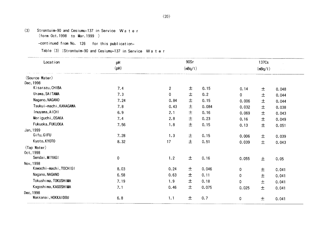- (3) Strontuim-90 and Cesiumu-137 in Service Wa t e r (form Oct.1998 to Mar.1999)
	- -continued from No. 126 for this publication-

Table (3) :Strontuim-90 and Cesiumu-137 in Service Wa t e r

| Location                    | pH        |                | 90Sr    |       | 137Cs   |       |       |  |  |
|-----------------------------|-----------|----------------|---------|-------|---------|-------|-------|--|--|
|                             | (Hq)      |                | (mBq/1) |       | (mBq/1) |       |       |  |  |
| (Source Water)<br>Dec, 1998 |           |                |         |       |         |       |       |  |  |
| Kisarazu, CHIBA             | 7.4       | $\overline{c}$ | 土       | 0.15  | 0.14    | 土     | 0.048 |  |  |
| Urawa, SAITAMA              | 7.3       | $\mathbf{0}$   | $\pm$   | 0.2   | 0       | $\pm$ | 0.044 |  |  |
| Nagano, NAGANO              | 7.24      | 0.84           | $\pm$   | 0.15  | 0.006   | $\pm$ | 0.044 |  |  |
| Tsukui-machi, KANAGAWA      | 7.8       | 0.43           | $\pm$   | 0.084 | 0.032   | $\pm$ | 0.038 |  |  |
| Inuyama, AICHI              | 6.9       | 2.1            | $\pm$   | 0.16  | 0.069   | 土     | 0.043 |  |  |
| Moriguchi, OSAKA            | 7.4       | 2.8            | $\pm$   | 0.23  | 0.16    | 土     | 0.049 |  |  |
| Fukuoka, FUKUOKA            | 7.56      | 1.8            | 士       | 0.15  | 0.13    | $\pm$ | 0.051 |  |  |
| Jan, 1999                   |           |                |         |       |         |       |       |  |  |
| Gifu, GIFU                  | 7.28      | 1.3            | $\pm$   | 0.15  | 0.006   | 土     | 0.039 |  |  |
| Kyoto, KYOTO                | 8.32      | 17             | 土       | 0.51  | 0.039   | $\pm$ | 0.043 |  |  |
| (Tap Water)<br>0ct, 1998    |           |                |         |       |         |       |       |  |  |
| Sendai, MIYAGI              | $\pmb{0}$ | 1.2            | 土       | 0.16  | 0.055   | $\pm$ | 0.05  |  |  |
| Nov, 1998                   |           |                |         |       |         |       |       |  |  |
| Kawachi-machi, TOCHIGI      | 8.03      | 0.24           | 土       | 0.046 | 0       | 土     | 0.041 |  |  |
| Nagano, NAGANO              | 6.58      | 0.63           | 土       | 0.11  | 0       | $\pm$ | 0.041 |  |  |
| Tokushima, TOKUSHIMA        | 7.19      | 1.9            | 士       | 0.18  | 0       | 土     | 0.041 |  |  |
| Kagoshima, KAGOSHIMA        | 7.1       | 0.46           | 土       | 0.075 | 0.025   | 土     | 0.041 |  |  |
| Dec, 1998                   |           |                |         |       |         |       |       |  |  |
| Wakkanai, HOKKAIDOU         | 6.8       | 1.1            | 土       | 0.7   | 0       | $\pm$ | 0.041 |  |  |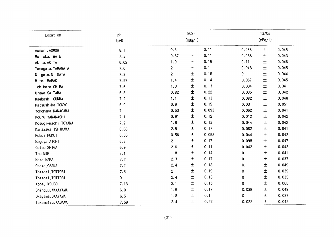| Location             | pH             |                | 90Sr    |       |             | 137Cs   |       |
|----------------------|----------------|----------------|---------|-------|-------------|---------|-------|
|                      | (PH)           |                | (mBq/1) |       |             | (mBq/1) |       |
| Aomori, AOMORI       | 8.1            | 0.8            | 土       | 0.11  | 0.088       | $\pm$   | 0.048 |
| Morioka, IWATE       | 7.3            | 0.87           | $\pm$   | 0.11  | 0.038       | $\pm$   | 0.043 |
| Akita, AKITA         | 6.02           | 1.9            | 士       | 0.15  | 0.11        | 士       | 0.046 |
| Yamagata, YAMAGATA   | 7.6            | $\overline{2}$ | $\pm$   | 0.1   | 0.048       | $\pm$   | 0.045 |
| Niigata, NIIGATA     | 7.3            | $\overline{2}$ | 土       | 0.16  | 0           | $\pm$   | 0.044 |
| Mito, IBARAKI        | 7.97           | 1.4            | $\pm$   | 0.14  | 0.087       | $\pm$   | 0.045 |
| Ichihara, CHIBA      | 7.6            | 1.3            | $\pm$   | 0.13  | 0.034       | $\pm$   | 0.04  |
| Urawa, SAITAMA       | 6.8            | 0.82           | 土       | 0.22  | 0.035       | $\pm$   | 0.042 |
| Maebashi, GUNMA      | 7.2            | 1.1            | 土       | 0.13  | 0.082       | 土       | 0.048 |
| Katsushika, TOKYO    | 6.9            | 0.9            | $\pm$   | 0.15  | 0.03        | 土       | 0.051 |
| Yokohama, KANAGAWA   | $\overline{7}$ | 0.53           | $\pm$   | 0.093 | 0.062       | $\pm$   | 0.041 |
| Koufu, YAMANASHI     | 7.1            | 0.91           | $\pm$   | 0.12  | 0.012       | $\pm$   | 0.042 |
| Kosugi-machi, TOYAMA | 7.2            | 1.6            | 土       | 0.13  | 0.044       | $\pm$   | 0.042 |
| Kanazawa, ISHIKAWA   | 6.68           | 2.5            | $\pm$   | 0.17  | 0.082       | $\pm$   | 0.041 |
| Fukui, FUKUI         | 6.36           | 0.56           | 土       | 0.093 | 0.044       | $\pm$   | 0.042 |
| Nagoya, AICHI        | 6.8            | 2.1            | $\pm$   | 0.17  | 0.098       | $\pm$   | 0.047 |
| Ootsu, SHIGA         | 6.9            | 2.6            | $\pm$   | 0.11  | 0.042       | $\pm$   | 0.042 |
| Tsu, MIE             | 7.1            | 1.8            | $\pm$   | 0.14  | $\pmb{0}$   | $\pm$   | 0.041 |
| Nara, NARA           | 7.2            | 2.3            | 土       | 0.17  | 0           | 士       | 0.037 |
| Osaka, OSAKA         | 7.2            | 2.4            | $\pm$   | 0.18  | 0.1         | $\pm$   | 0.049 |
| Tottori, TOTTORI     | 7.5            | $\overline{2}$ | 土       | 0.19  | 0           | $\pm$   | 0.039 |
| Tottori, TOTTORI     | 0              | 2.4            | $\pm$   | 0.18  | 0           | $\pm$   | 0.035 |
| Kobe, HYOUGO         | 7.13           | 2.1            | $\pm$   | 0.15  | $\mathbf 0$ | $\pm$   | 0.068 |
| Shinguu, WAKAYAMA    | 6.9            | 1.6            | $\pm$   | 0.17  | 0.038       | $\pm$   | 0.049 |
| Okayama, OKAYAMA     | 6.5            | 1.8            | $\pm$   | 0.1   | $\mathbf 0$ | $\pm$   | 0.037 |
| Takamatsu, KAGAWA    | 7.59           | 2.4            | $\pm$   | 0.22  | 0.022       | $\pm$   | 0.042 |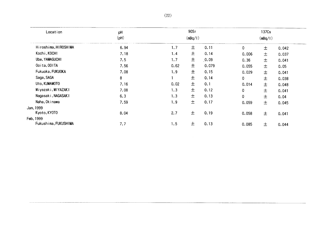| Location             | pH              |      | 90Sr    |       |       | 137Cs   |       |
|----------------------|-----------------|------|---------|-------|-------|---------|-------|
|                      | $(\mathsf{pH})$ |      | (mBq/1) |       |       | (mBq/1) |       |
| Hiroshima, HIROSHIMA | 6.94            | 1.7  | 土       | 0.11  | 0     | $\pm$   | 0.042 |
| Kochi, KOCHI         | 7.18            | 1.4  | 士       | 0.14  | 0.006 | 土       | 0.037 |
| Ube, YAMAGUCHI       | 7.5             | 1.7  | 土       | 0.09  | 0.36  | 土       | 0.041 |
| Ooita, OOITA         | 7.56            | 0.62 | 土       | 0.079 | 0.055 | 土       | 0.05  |
| Fukuoka, FUKUOKA     | 7.08            | 1.9  | 土       | 0.15  | 0.029 | 土       | 0.041 |
| Saga, SAGA           | 8               |      | 土       | 0.14  | 0     | 士       | 0.038 |
| Uto, KUMAMOTO        | 7.16            | 0.02 | 土       | 0.1   | 0.014 | 士       | 0.048 |
| Miyazaki, MIYAZAKI   | 7.08            | 1.3  | 土       | 0.12  | 0     | 土       | 0.041 |
| Nagasaki, NAGASAKI   | 6.3             | 1.3  | 士       | 0.13  | 0     | 士       | 0.04  |
| Naha, Okinawa        | 7.59            | 1.9  | 土       | 0.17  | 0.059 | 土       | 0.045 |
| Jan, 1999            |                 |      |         |       |       |         |       |
| Kyoto, KYOTO         | 8.04            | 2.7  | 土       | 0.19  | 0.058 | 士       | 0.041 |
| Feb, 1999            |                 |      |         |       |       |         |       |
| Fukushima, FUKUSHIMA | 7.7             | 1.5  | 士       | 0.13  | 0.085 | 土       | 0.044 |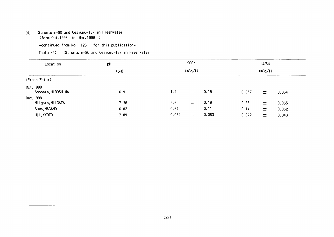# (4) Strontuim-90and Cesiunu-137in Freshwater

(form Oct.1998 to Mar.1999)

-continued from No. 126 for this publication-

| Table (4) :Strontuim-90 and Cesiumu-137 in Freshwater |  |
|-------------------------------------------------------|--|
|-------------------------------------------------------|--|

| Location                        | pH           | 90Sr          |         |               | 137Cs         |        |                |  |
|---------------------------------|--------------|---------------|---------|---------------|---------------|--------|----------------|--|
|                                 | (pH)         |               | (mBq/I) |               | (mBq/I)       |        |                |  |
| (Fresh Water)                   |              |               |         |               |               |        |                |  |
| Oct, 1998<br>Shobara, HIROSHIMA | 6.9          | 1.4           | 士       | 0.15          | 0.057         | 士      | 0.054          |  |
| Dec. 1998<br>Niigata, NIIGATA   | 7.38         | 2.6           | 士       | 0.19          | 0.35          | $\pm$  | 0.065          |  |
| Suwa, NAGANO<br>Uji, KYOTO      | 6.82<br>7.89 | 0.67<br>0.054 | 土<br>土  | 0.11<br>0.083 | 0.14<br>0.072 | 土<br>土 | 0.052<br>0.043 |  |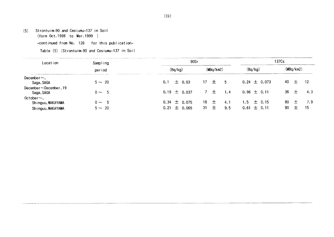# (5) Strontuin-90and Cesiumu-137in Soil (form Oct.1998 to Mar.1999)

-continued from No. 126 for this publication-

Table(5):Strontuim-90and Cesiumu-137in Soil

| Location                                   | Sampling<br>period |                   | 90Sr            | 137Cs            |                  |  |
|--------------------------------------------|--------------------|-------------------|-----------------|------------------|------------------|--|
|                                            |                    | (Bq/kg)           | (MBq/km2)       | (Bq/kg)          | (MBq/km2)        |  |
| December $\sim$ .<br>Saga, SAGA            | $5 \sim 20$        | $\pm$ 0.03<br>0.1 | $17 \pm 5$      | $0.24 \pm 0.073$ | 40<br>- 12<br>土  |  |
| December $\sim$ December, 19<br>Saga, SAGA | $0 \sim 5$         | $0.19 \pm 0.037$  | 7 土<br>1, 4     | $0.96 \pm 0.11$  | 36<br>4.3<br>$+$ |  |
| 0ctober $\sim$ .<br>Shinguu, WAKAYAMA      | $0 \sim 5$         | $0.34 \pm 0.075$  | 18 $\pm$<br>4.1 | 1.5 $\pm$ 0.15   | 80<br>7.9        |  |
| Shinguu, WAKAYAMA                          | $5 \sim 20$        | $0.21 \pm 0.065$  | $31 \pm$<br>9.5 | $0.61 \pm 0.11$  | 90<br>15         |  |

 $\sim 10^{-1}$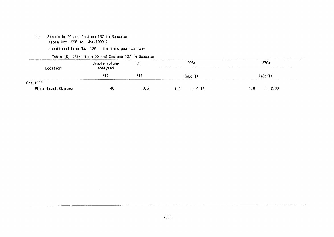Strontuim-90 and Cesiumu-137 in Seawater  $(6)$ (form Oct. 1998 to Mar. 1999) -continued from No. 126 for this publication-

|  |  | Table (6) :Strontuim-90 and Cesiumu-137 in Seawater |  |  |  |  |
|--|--|-----------------------------------------------------|--|--|--|--|
|--|--|-----------------------------------------------------|--|--|--|--|

|                                                                                                     | $1.00010$ (a) for the contract of the state state $1.001$ and $1.001$ |      |              |                     |  |
|-----------------------------------------------------------------------------------------------------|-----------------------------------------------------------------------|------|--------------|---------------------|--|
| considered to the proposition of the construction of the construction of the MCC-15 and<br>Location | Sample volume<br>◡<br>analyzed                                        |      | 90Sr         | 137Cs               |  |
|                                                                                                     |                                                                       |      | (mBq/l       | mBq,                |  |
| 0ct, 1998                                                                                           |                                                                       |      |              |                     |  |
| White-beach, Okinawa                                                                                | 40                                                                    | 18.6 | 士 0.18<br>12 | $\pm$ 0.22<br>. . 9 |  |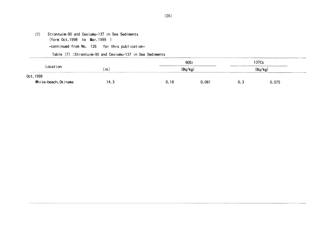(7) Strontuim-90and Cesiumu-137in Sea Sedinents (form Oct.1998 to Mar.1999) -COntinued from No.126 for this publication-

TabIe(7):Strontuim-90and Cesiumu-137in Sea Sediments

| ∟ocation<br>$   -$  |                                 | 90Sr<br>(Bq/kg, |       | 37Cs<br>$'$ Rn / $k$ n<br>_____ |       |  |
|---------------------|---------------------------------|-----------------|-------|---------------------------------|-------|--|
|                     | (m.<br>$\overline{\phantom{a}}$ |                 |       |                                 |       |  |
| Oct, 1998           |                                 |                 |       |                                 |       |  |
| White—beach,Okinawa | 14.3                            | 0.18            | 0.061 | U. J                            | 0.075 |  |